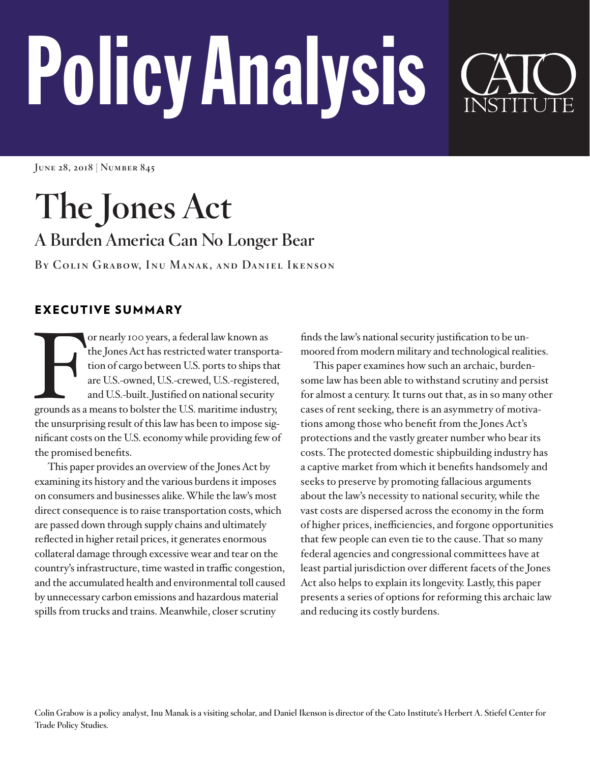# PolicyAnalysis

**June 28, 2018 | Number 845**

# **The Jones Act A Burden America Can No Longer Bear**

**By Colin Grabow, Inu Manak, and Daniel Ikenson**

# EXECUTIVE SUMMARY

or nearly 100 years, a federal law known as<br>the Jones Act has restricted water transporta<br>tion of cargo between U.S. ports to ships that<br>are U.S.-owned, U.S.-crewed, U.S.-registered,<br>and U.S.-built. Justified on national s or nearly 100 years, a federal law known as the Jones Act has restricted water transportation of cargo between U.S. ports to ships that are U.S.-owned, U.S.-crewed, U.S.-registered, and U.S.-built. Justified on national security the unsurprising result of this law has been to impose significant costs on the U.S. economy while providing few of the promised benefits.

This paper provides an overview of the Jones Act by examining its history and the various burdens it imposes on consumers and businesses alike. While the law's most direct consequence is to raise transportation costs, which are passed down through supply chains and ultimately reflected in higher retail prices, it generates enormous collateral damage through excessive wear and tear on the country's infrastructure, time wasted in traffic congestion, and the accumulated health and environmental toll caused by unnecessary carbon emissions and hazardous material spills from trucks and trains. Meanwhile, closer scrutiny

finds the law's national security justification to be unmoored from modern military and technological realities.

This paper examines how such an archaic, burdensome law has been able to withstand scrutiny and persist for almost a century. It turns out that, as in so many other cases of rent seeking, there is an asymmetry of motivations among those who benefit from the Jones Act's protections and the vastly greater number who bear its costs. The protected domestic shipbuilding industry has a captive market from which it benefits handsomely and seeks to preserve by promoting fallacious arguments about the law's necessity to national security, while the vast costs are dispersed across the economy in the form of higher prices, inefficiencies, and forgone opportunities that few people can even tie to the cause. That so many federal agencies and congressional committees have at least partial jurisdiction over different facets of the Jones Act also helps to explain its longevity. Lastly, this paper presents a series of options for reforming this archaic law and reducing its costly burdens.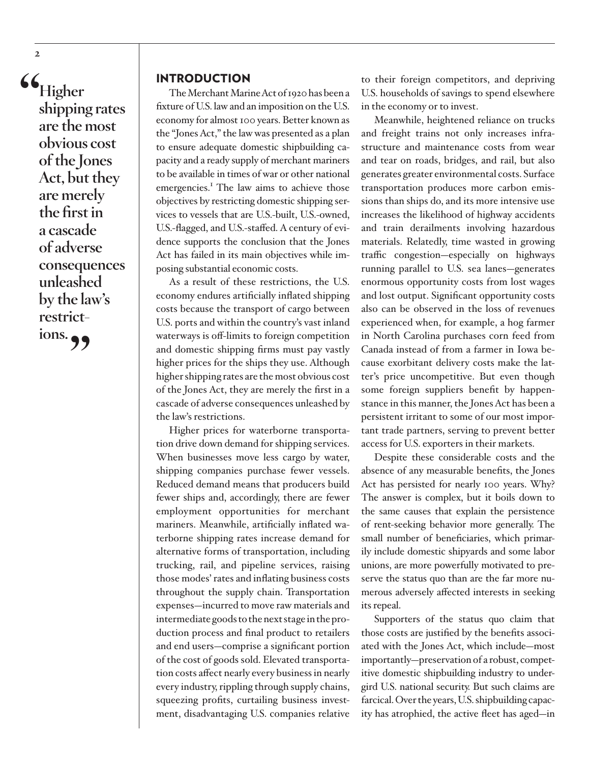**"Higher shipping rates are the most obvious cost of the Jones Act, but they are merely the first in a cascade of adverse consequences unleashed by the law's restrictions.** 

#### INTRODUCTION

The Merchant Marine Act of 1920 has been a fixture of U.S. law and an imposition on the U.S. economy for almost 100 years. Better known as the "Jones Act," the law was presented as a plan to ensure adequate domestic shipbuilding capacity and a ready supply of merchant mariners to be available in times of war or other national emergencies.<sup>1</sup> The law aims to achieve those objectives by restricting domestic shipping services to vessels that are U.S.-built, U.S.-owned, U.S.-flagged, and U.S.-staffed. A century of evidence supports the conclusion that the Jones Act has failed in its main objectives while imposing substantial economic costs.

As a result of these restrictions, the U.S. economy endures artificially inflated shipping costs because the transport of cargo between U.S. ports and within the country's vast inland waterways is off-limits to foreign competition and domestic shipping firms must pay vastly higher prices for the ships they use. Although higher shipping rates are the most obvious cost of the Jones Act, they are merely the first in a cascade of adverse consequences unleashed by the law's restrictions.

Higher prices for waterborne transportation drive down demand for shipping services. When businesses move less cargo by water, shipping companies purchase fewer vessels. Reduced demand means that producers build fewer ships and, accordingly, there are fewer employment opportunities for merchant mariners. Meanwhile, artificially inflated waterborne shipping rates increase demand for alternative forms of transportation, including trucking, rail, and pipeline services, raising those modes' rates and inflating business costs throughout the supply chain. Transportation expenses—incurred to move raw materials and intermediate goods to the next stage in the production process and final product to retailers and end users—comprise a significant portion of the cost of goods sold. Elevated transportation costs affect nearly every business in nearly every industry, rippling through supply chains, squeezing profits, curtailing business investment, disadvantaging U.S. companies relative

to their foreign competitors, and depriving U.S. households of savings to spend elsewhere in the economy or to invest.

Meanwhile, heightened reliance on trucks and freight trains not only increases infrastructure and maintenance costs from wear and tear on roads, bridges, and rail, but also generates greater environmental costs. Surface transportation produces more carbon emissions than ships do, and its more intensive use increases the likelihood of highway accidents and train derailments involving hazardous materials. Relatedly, time wasted in growing traffic congestion—especially on highways running parallel to U.S. sea lanes—generates enormous opportunity costs from lost wages and lost output. Significant opportunity costs also can be observed in the loss of revenues experienced when, for example, a hog farmer in North Carolina purchases corn feed from Canada instead of from a farmer in Iowa because exorbitant delivery costs make the latter's price uncompetitive. But even though some foreign suppliers benefit by happenstance in this manner, the Jones Act has been a persistent irritant to some of our most important trade partners, serving to prevent better access for U.S. exporters in their markets.

Despite these considerable costs and the absence of any measurable benefits, the Jones Act has persisted for nearly 100 years. Why? The answer is complex, but it boils down to the same causes that explain the persistence of rent-seeking behavior more generally. The small number of beneficiaries, which primarily include domestic shipyards and some labor unions, are more powerfully motivated to preserve the status quo than are the far more numerous adversely affected interests in seeking its repeal.

Supporters of the status quo claim that those costs are justified by the benefits associated with the Jones Act, which include—most importantly—preservation of a robust, competitive domestic shipbuilding industry to undergird U.S. national security. But such claims are farcical. Over the years, U.S. shipbuilding capacity has atrophied, the active fleet has aged—in

<span id="page-1-0"></span>**2**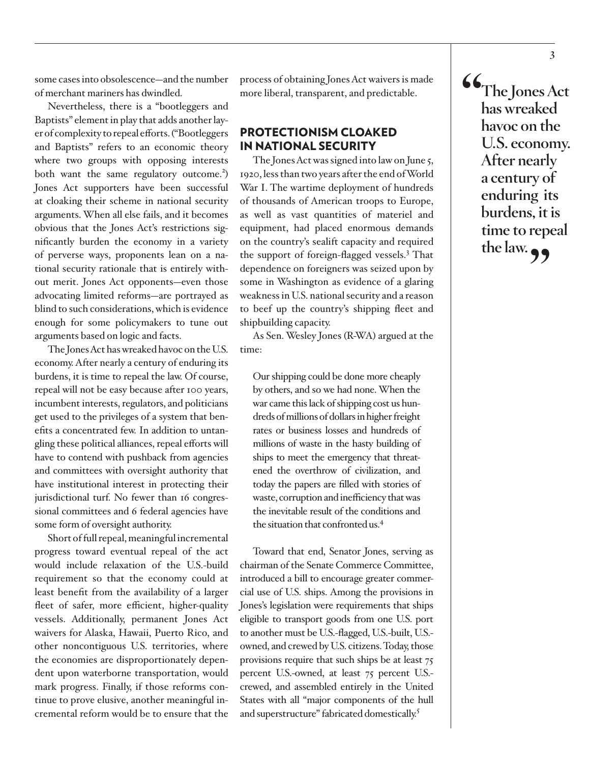<span id="page-2-0"></span>some cases into obsolescence—and the number of merchant mariners has dwindled.

Nevertheless, there is a "bootleggers and Baptists" element in play that adds another layer of complexity to repeal efforts. ("Bootleggers and Baptists" refers to an economic theory where two groups with opposing interests both want the same regulatory outcome.<sup>2</sup>) Jones Act supporters have been successful at cloaking their scheme in national security arguments. When all else fails, and it becomes obvious that the Jones Act's restrictions significantly burden the economy in a variety of perverse ways, proponents lean on a national security rationale that is entirely without merit. Jones Act opponents—even those advocating limited reforms—are portrayed as blind to such considerations, which is evidence enough for some policymakers to tune out arguments based on logic and facts.

The Jones Act has wreaked havoc on the U.S. economy. After nearly a century of enduring its burdens, it is time to repeal the law. Of course, repeal will not be easy because after 100 years, incumbent interests, regulators, and politicians get used to the privileges of a system that benefits a concentrated few. In addition to untangling these political alliances, repeal efforts will have to contend with pushback from agencies and committees with oversight authority that have institutional interest in protecting their jurisdictional turf. No fewer than 16 congressional committees and 6 federal agencies have some form of oversight authority.

Short of full repeal, meaningful incremental progress toward eventual repeal of the act would include relaxation of the U.S.-build requirement so that the economy could at least benefit from the availability of a larger fleet of safer, more efficient, higher-quality vessels. Additionally, permanent Jones Act waivers for Alaska, Hawaii, Puerto Rico, and other noncontiguous U.S. territories, where the economies are disproportionately dependent upon waterborne transportation, would mark progress. Finally, if those reforms continue to prove elusive, another meaningful incremental reform would be to ensure that the

process of obtaining Jones Act waivers is made more liberal, transparent, and predictable.

# PROTECTIONISM CLOAKED IN NATIONAL SECURITY

The Jones Act was signed into law on June 5, 1920, less than two years after the end of World War I. The wartime deployment of hundreds of thousands of American troops to Europe, as well as vast quantities of materiel and equipment, had placed enormous demands on the country's sealift capacity and required the support of foreign-flagged vessels.<sup>[3](#page-16-0)</sup> That dependence on foreigners was seized upon by some in Washington as evidence of a glaring weakness in U.S. national security and a reason to beef up the country's shipping fleet and shipbuilding capacity.

As Sen. Wesley Jones (R-WA) argued at the time:

Our shipping could be done more cheaply by others, and so we had none. When the war came this lack of shipping cost us hundreds of millions of dollars in higher freight rates or business losses and hundreds of millions of waste in the hasty building of ships to meet the emergency that threatened the overthrow of civilization, and today the papers are filled with stories of waste, corruption and inefficiency that was the inevitable result of the conditions and the situation that confronted us[.4](#page-16-0)

Toward that end, Senator Jones, serving as chairman of the Senate Commerce Committee, introduced a bill to encourage greater commercial use of U.S. ships. Among the provisions in Jones's legislation were requirements that ships eligible to transport goods from one U.S. port to another must be U.S.-flagged, U.S.-built, U.S. owned, and crewed by U.S. citizens. Today, those provisions require that such ships be at least 75 percent U.S.-owned, at least 75 percent U.S. crewed, and assembled entirely in the United States with all "major components of the hull and superstructure" fabricated domestically.<sup>5</sup>

**"The Jones Act has wreaked havoc on the U.S. economy. After nearly a century of enduring its burdens, it is time to repeal**  the law.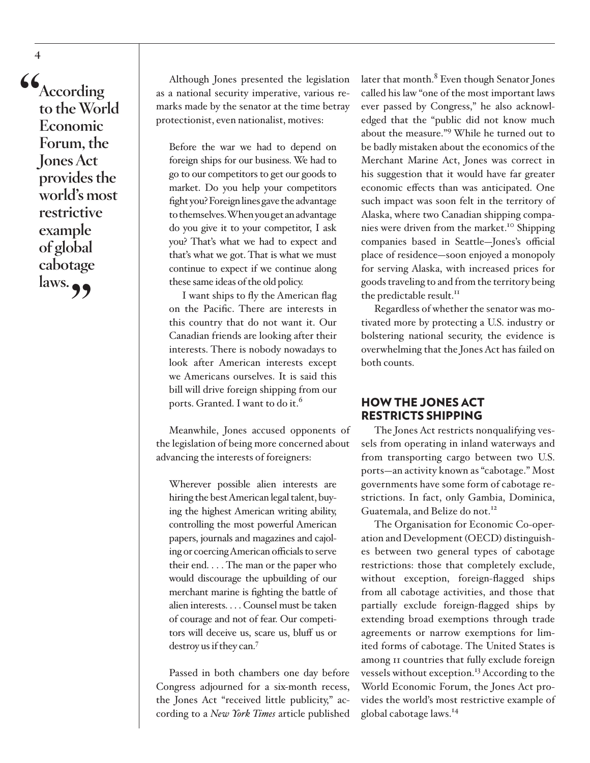**"According to the World Economic Forum, the Jones Act provides the world's most restrictive example of global cabotage**  laws. **99** 

<span id="page-3-0"></span>**4**

Although Jones presented the legislation as a national security imperative, various remarks made by the senator at the time betray protectionist, even nationalist, motives:

Before the war we had to depend on foreign ships for our business. We had to go to our competitors to get our goods to market. Do you help your competitors fight you? Foreign lines gave the advantage to themselves. When you get an advantage do you give it to your competitor, I ask you? That's what we had to expect and that's what we got. That is what we must continue to expect if we continue along these same ideas of the old policy.

I want ships to fly the American flag on the Pacific. There are interests in this country that do not want it. Our Canadian friends are looking after their interests. There is nobody nowadays to look after American interests except we Americans ourselves. It is said this bill will drive foreign shipping from our ports. Granted. I want to do it.<sup>6</sup>

Meanwhile, Jones accused opponents of the legislation of being more concerned about advancing the interests of foreigners:

Wherever possible alien interests are hiring the best American legal talent, buying the highest American writing ability, controlling the most powerful American papers, journals and magazines and cajoling or coercing American officials to serve their end. . . . The man or the paper who would discourage the upbuilding of our merchant marine is fighting the battle of alien interests. . . . Counsel must be taken of courage and not of fear. Our competitors will deceive us, scare us, bluff us or destroy us if they can[.7](#page-16-0)

Passed in both chambers one day before Congress adjourned for a six-month recess, the Jones Act "received little publicity," according to a *New York Times* article published later that month.<sup>[8](#page-16-0)</sup> Even though Senator Jones called his law "one of the most important laws ever passed by Congress," he also acknowledged that the "public did not know much about the measure.["9](#page-16-0) While he turned out to be badly mistaken about the economics of the Merchant Marine Act, Jones was correct in his suggestion that it would have far greater economic effects than was anticipated. One such impact was soon felt in the territory of Alaska, where two Canadian shipping companies were driven from the market.<sup>10</sup> Shipping companies based in Seattle—Jones's official place of residence—soon enjoyed a monopoly for serving Alaska, with increased prices for goods traveling to and from the territory being the predictable result.<sup>11</sup>

Regardless of whether the senator was motivated more by protecting a U.S. industry or bolstering national security, the evidence is overwhelming that the Jones Act has failed on both counts.

## HOW THE JONES ACT RESTRICTS SHIPPING

The Jones Act restricts nonqualifying vessels from operating in inland waterways and from transporting cargo between two U.S. ports—an activity known as "cabotage." Most governments have some form of cabotage restrictions. In fact, only Gambia, Dominica, Guatemala, and Belize do not.<sup>[12](#page-16-0)</sup>

The Organisation for Economic Co-operation and Development (OECD) distinguishes between two general types of cabotage restrictions: those that completely exclude, without exception, foreign-flagged ships from all cabotage activities, and those that partially exclude foreign-flagged ships by extending broad exemptions through trade agreements or narrow exemptions for limited forms of cabotage. The United States is among 11 countries that fully exclude foreign vessels without exception.<sup>13</sup> According to the World Economic Forum, the Jones Act provides the world's most restrictive example of global cabotage laws.[14](#page-16-0)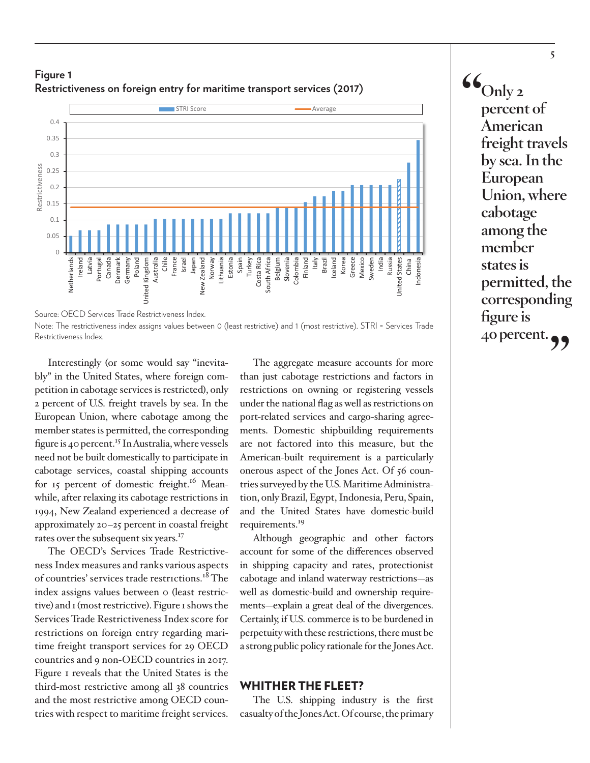

# <span id="page-4-0"></span>**Figure 1 Restrictiveness on foreign entry for maritime transport services (2017)**

Note: The restrictiveness index assigns values between 0 (least restrictive) and 1 (most restrictive). STRI = Services Trade Restrictiveness Index.

bly" in the United States, where foreign com Interestingly (or some would say "inevita petition in cabotage services is restricted), only 2 percent of U.S. freight travels by sea. In the European Union, where cabotage among the member states is permitted, the corresponding figure is 40 percent.<sup>15</sup> In Australia, where vessels need not be built domestically to participate in cabotage services, coastal shipping accounts for 15 percent of domestic freight.<sup>16</sup> Meanwhile, after relaxing its cabotage restrictions in 1994, New Zealand experienced a decrease of approximately 20–25 percent in coastal freight rates over the subsequent six years.<sup>[17](#page-16-0)</sup>

The OECD's Services Trade Restrictiveness Index measures and ranks various aspects of countries' services trade restrictions.<sup>18</sup> The index assigns values between o (least restrictive) and 1 (most restrictive). Figure 1 shows the Services Trade Restrictiveness Index score for restrictions on foreign entry regarding maritime freight transport services for 29 OECD countries and 9 non-OECD countries in 2017. Figure 1 reveals that the United States is the third-most restrictive among all 38 countries and the most restrictive among OECD countries with respect to maritime freight services.

The aggregate measure accounts for more<br>than just cabotage restrictions and factors in<br>a positivities on equation on projective proced-The aggregate measure accounts for more than just cabotage restrictions and factors in restrictions on owning or registering vessels under the national flag as well as restrictions on port-related services and cargo-sharing agreements. Domestic shipbuilding requirements are not factored into this measure, but the American-built requirement is a particularly onerous aspect of the Jones Act. Of 56 countries surveyed by the U.S. Maritime Administration, only Brazil, Egypt, Indonesia, Peru, Spain, and the United States have domestic-build requirements.<sup>19</sup>

Although geographic and other factors account for some of the differences observed in shipping capacity and rates, protectionist cabotage and inland waterway restrictions—as well as domestic-build and ownership requirements—explain a great deal of the divergences. Certainly, if U.S. commerce is to be burdened in perpetuity with these restrictions, there must be a strong public policy rationale for the Jones Act.

#### WHITHER THE FLEET?

The U.S. shipping industry is the first casualty of the Jones Act. Of course, the primary  $\mathcal{C}_{\text{Only 2}}$ **percent of American freight travels by sea. In the European Union, where cabotage among the member states is permitted, the corresponding figure is 40 percent.**

Source: OECD Services Trade Restrictiveness Index.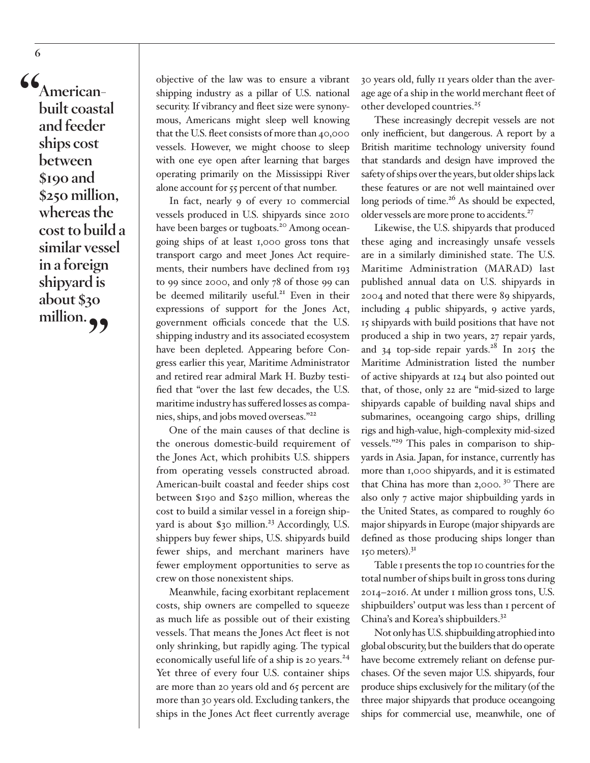<span id="page-5-0"></span>**"Americanbuilt coastal and feeder ships cost between \$190 and \$250 million, whereas the cost to build a similar vessel in a foreign shipyard is about \$30**  million.

objective of the law was to ensure a vibrant shipping industry as a pillar of U.S. national security. If vibrancy and fleet size were synonymous, Americans might sleep well knowing that the U.S. fleet consists of more than 40,000 vessels. However, we might choose to sleep with one eye open after learning that barges operating primarily on the Mississippi River alone account for 55 percent of that number.

In fact, nearly 9 of every 10 commercial vessels produced in U.S. shipyards since 2010 have been barges or tugboats.<sup>20</sup> Among oceangoing ships of at least 1,000 gross tons that transport cargo and meet Jones Act requirements, their numbers have declined from 193 to 99 since 2000, and only 78 of those 99 can be deemed militarily useful.<sup>[21](#page-16-0)</sup> Even in their expressions of support for the Jones Act, government officials concede that the U.S. shipping industry and its associated ecosystem have been depleted. Appearing before Congress earlier this year, Maritime Administrator and retired rear admiral Mark H. Buzby testified that "over the last few decades, the U.S. maritime industry has suffered losses as companies, ships, and jobs moved overseas."[22](#page-17-0)

One of the main causes of that decline is the onerous domestic-build requirement of the Jones Act, which prohibits U.S. shippers from operating vessels constructed abroad. American-built coastal and feeder ships cost between \$190 and \$250 million, whereas the cost to build a similar vessel in a foreign shipyard is about  $$30$  million.<sup>23</sup> Accordingly, U.S. shippers buy fewer ships, U.S. shipyards build fewer ships, and merchant mariners have fewer employment opportunities to serve as crew on those nonexistent ships.

Meanwhile, facing exorbitant replacement costs, ship owners are compelled to squeeze as much life as possible out of their existing vessels. That means the Jones Act fleet is not only shrinking, but rapidly aging. The typical economically useful life of a ship is 20 years.<sup>[24](#page-17-0)</sup> Yet three of every four U.S. container ships are more than 20 years old and 65 percent are more than 30 years old. Excluding tankers, the ships in the Jones Act fleet currently average

30 years old, fully 11 years older than the average age of a ship in the world merchant fleet of other developed countries.<sup>25</sup>

These increasingly decrepit vessels are not only inefficient, but dangerous. A report by a British maritime technology university found that standards and design have improved the safety of ships over the years, but older ships lack these features or are not well maintained over long periods of time.<sup>26</sup> As should be expected, older vessels are more prone to accidents.<sup>27</sup>

Likewise, the U.S. shipyards that produced these aging and increasingly unsafe vessels are in a similarly diminished state. The U.S. Maritime Administration (MARAD) last published annual data on U.S. shipyards in 2004 and noted that there were 89 shipyards, including 4 public shipyards, 9 active yards, 15 shipyards with build positions that have not produced a ship in two years, 27 repair yards, and  $34$  top-side repair yards.<sup>[28](#page-17-0)</sup> In 2015 the Maritime Administration listed the number of active shipyards at 124 but also pointed out that, of those, only 22 are "mid-sized to large shipyards capable of building naval ships and submarines, oceangoing cargo ships, drilling rigs and high-value, high-complexity mid-sized vessels.["29](#page-17-0) This pales in comparison to shipyards in Asia. Japan, for instance, currently has more than 1,000 shipyards, and it is estimated that China has more than  $2,000$ .  $30$  There are also only 7 active major shipbuilding yards in the United States, as compared to roughly 60 major shipyards in Europe (major shipyards are defined as those producing ships longer than  $150$  meters).<sup>31</sup>

Table 1 presents the top 10 countries for the total number of ships built in gross tons during 2014–2016. At under 1 million gross tons, U.S. shipbuilders' output was less than 1 percent of China's and Korea's shipbuilders[.32](#page-17-0)

Not only has U.S. shipbuilding atrophied into global obscurity, but the builders that do operate have become extremely reliant on defense purchases. Of the seven major U.S. shipyards, four produce ships exclusively for the military (of the three major shipyards that produce oceangoing ships for commercial use, meanwhile, one of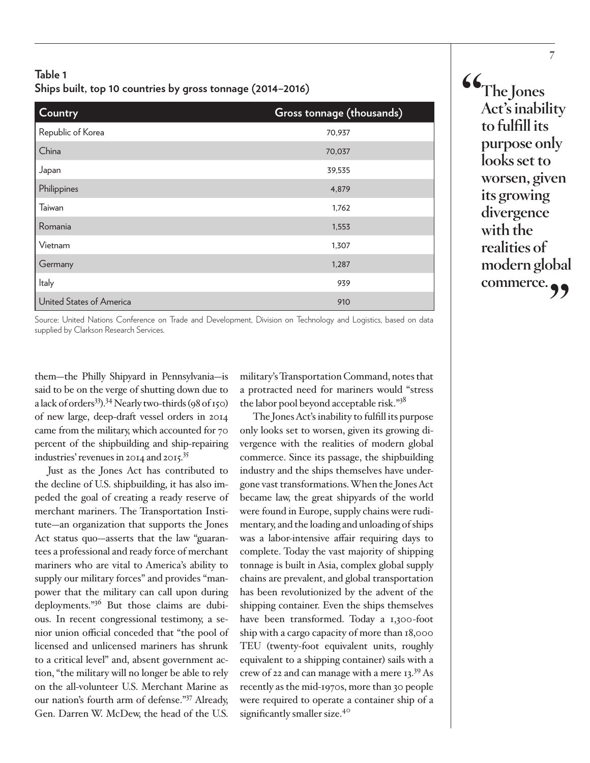# <span id="page-6-0"></span>**Table 1 Ships built, top 10 countries by gross tonnage (2014–2016)**

| Country                  | Gross tonnage (thousands) |
|--------------------------|---------------------------|
| Republic of Korea        | 70,937                    |
| China                    | 70,037                    |
| Japan                    | 39,535                    |
| Philippines              | 4,879                     |
| Taiwan                   | 1,762                     |
| Romania                  | 1,553                     |
| Vietnam                  | 1,307                     |
| Germany                  | 1,287                     |
| <b>Italy</b>             | 939                       |
| United States of America | 910                       |

Source: United Nations Conference on Trade and Development, Division on Technology and Logistics, based on data supplied by Clarkson Research Services.

them—the Philly Shipyard in Pennsylvania—is said to be on the verge of shutting down due to a lack of orders<sup>33</sup>).<sup>34</sup> Nearly two-thirds (98 of 150) of new large, deep-draft vessel orders in 2014 came from the military, which accounted for 70 percent of the shipbuilding and ship-repairing industries' revenues in 2014 and 2015[.35](#page-17-0)

Just as the Jones Act has contributed to the decline of U.S. shipbuilding, it has also impeded the goal of creating a ready reserve of merchant mariners. The Transportation Institute—an organization that supports the Jones Act status quo—asserts that the law "guarantees a professional and ready force of merchant mariners who are vital to America's ability to supply our military forces" and provides "manpower that the military can call upon during deployments.["36](#page-17-0) But those claims are dubious. In recent congressional testimony, a senior union official conceded that "the pool of licensed and unlicensed mariners has shrunk to a critical level" and, absent government action, "the military will no longer be able to rely on the all-volunteer U.S. Merchant Marine as our nation's fourth arm of defense.["37](#page-17-0) Already, Gen. Darren W. McDew, the head of the U.S.

military's Transportation Command, notes that a protracted need for mariners would "stress the labor pool beyond acceptable risk.["38](#page-18-0)

The Jones Act's inability to fulfill its purpose only looks set to worsen, given its growing divergence with the realities of modern global commerce. Since its passage, the shipbuilding industry and the ships themselves have undergone vast transformations. When the Jones Act became law, the great shipyards of the world were found in Europe, supply chains were rudimentary, and the loading and unloading of ships was a labor-intensive affair requiring days to complete. Today the vast majority of shipping tonnage is built in Asia, complex global supply chains are prevalent, and global transportation has been revolutionized by the advent of the shipping container. Even the ships themselves have been transformed. Today a 1,300-foot ship with a cargo capacity of more than 18,000 TEU (twenty-foot equivalent units, roughly equivalent to a shipping container) sails with a crew of 22 and can manage with a mere 13.[39](#page-18-0) As recently as the mid-1970s, more than 30 people were required to operate a container ship of a significantly smaller size.<sup>40</sup>

**"The Jones Act's inability to fulfill its purpose only looks set to worsen, given its growing divergence with the realities of modern global**  commerce.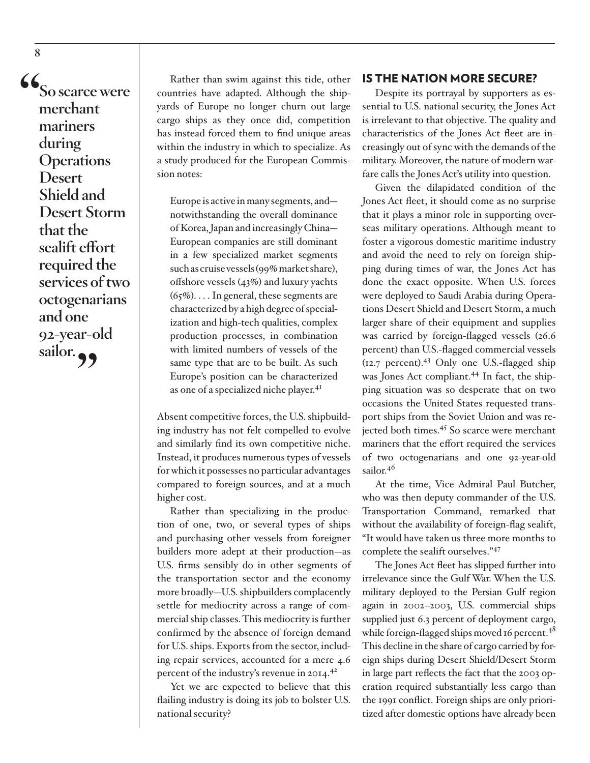**"So scarce were merchant mariners during Operations Desert Shield and Desert Storm that the sealift effort required the services of two octogenarians and one 92-year-old**  sailor.

Rather than swim against this tide, other countries have adapted. Although the shipyards of Europe no longer churn out large cargo ships as they once did, competition has instead forced them to find unique areas within the industry in which to specialize. As a study produced for the European Commission notes:

Europe is active in many segments, and notwithstanding the overall dominance of Korea, Japan and increasingly China— European companies are still dominant in a few specialized market segments such as cruise vessels (99% market share), offshore vessels (43%) and luxury yachts  $(65\%)$ ... In general, these segments are characterized by a high degree of specialization and high-tech qualities, complex production processes, in combination with limited numbers of vessels of the same type that are to be built. As such Europe's position can be characterized as one of a specialized niche player.<sup>41</sup>

Absent competitive forces, the U.S. shipbuilding industry has not felt compelled to evolve and similarly find its own competitive niche. Instead, it produces numerous types of vessels for which it possesses no particular advantages compared to foreign sources, and at a much higher cost.

Rather than specializing in the production of one, two, or several types of ships and purchasing other vessels from foreigner builders more adept at their production—as U.S. firms sensibly do in other segments of the transportation sector and the economy more broadly—U.S. shipbuilders complacently settle for mediocrity across a range of commercial ship classes. This mediocrity is further confirmed by the absence of foreign demand for U.S. ships. Exports from the sector, including repair services, accounted for a mere 4.6 percent of the industry's revenue in 2014.<sup>42</sup>

Yet we are expected to believe that this flailing industry is doing its job to bolster U.S. national security?

#### IS THE NATION MORE SECURE?

Despite its portrayal by supporters as essential to U.S. national security, the Jones Act is irrelevant to that objective. The quality and characteristics of the Jones Act fleet are increasingly out of sync with the demands of the military. Moreover, the nature of modern warfare calls the Jones Act's utility into question.

Given the dilapidated condition of the Jones Act fleet, it should come as no surprise that it plays a minor role in supporting overseas military operations. Although meant to foster a vigorous domestic maritime industry and avoid the need to rely on foreign shipping during times of war, the Jones Act has done the exact opposite. When U.S. forces were deployed to Saudi Arabia during Operations Desert Shield and Desert Storm, a much larger share of their equipment and supplies was carried by foreign-flagged vessels (26.6 percent) than U.S.-flagged commercial vessels  $(12.7 \text{ percent})$ .<sup>43</sup> Only one U.S.-flagged ship was Jones Act compliant.<sup>[44](#page-18-0)</sup> In fact, the shipping situation was so desperate that on two occasions the United States requested transport ships from the Soviet Union and was rejected both times.<sup>45</sup> So scarce were merchant mariners that the effort required the services of two octogenarians and one 92-year-old sailor.<sup>[46](#page-18-0)</sup>

At the time, Vice Admiral Paul Butcher, who was then deputy commander of the U.S. Transportation Command, remarked that without the availability of foreign-flag sealift, "It would have taken us three more months to complete the sealift ourselves.["47](#page-18-0)

The Jones Act fleet has slipped further into irrelevance since the Gulf War. When the U.S. military deployed to the Persian Gulf region again in 2002–2003, U.S. commercial ships supplied just 6.3 percent of deployment cargo, while foreign-flagged ships moved 16 percent.<sup>48</sup> This decline in the share of cargo carried by foreign ships during Desert Shield/Desert Storm in large part reflects the fact that the 2003 operation required substantially less cargo than the 1991 conflict. Foreign ships are only prioritized after domestic options have already been

<span id="page-7-0"></span>**8**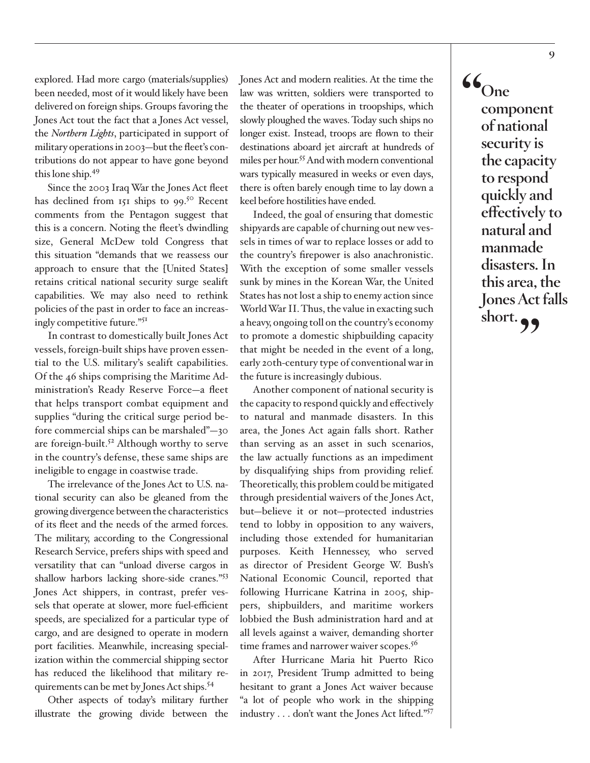<span id="page-8-0"></span>explored. Had more cargo (materials/supplies) been needed, most of it would likely have been delivered on foreign ships. Groups favoring the Jones Act tout the fact that a Jones Act vessel, the *Northern Lights*, participated in support of military operations in 2003—but the fleet's contributions do not appear to have gone beyond this lone ship[.49](#page-18-0)

Since the 2003 Iraq War the Jones Act fleet has declined from 151 ships to 99.<sup>50</sup> Recent comments from the Pentagon suggest that this is a concern. Noting the fleet's dwindling size, General McDew told Congress that this situation "demands that we reassess our approach to ensure that the [United States] retains critical national security surge sealift capabilities. We may also need to rethink policies of the past in order to face an increasingly competitive future.["51](#page-18-0)

In contrast to domestically built Jones Act vessels, foreign-built ships have proven essential to the U.S. military's sealift capabilities. Of the 46 ships comprising the Maritime Administration's Ready Reserve Force—a fleet that helps transport combat equipment and supplies "during the critical surge period before commercial ships can be marshaled"—30 are foreign-built.<sup>52</sup> Although worthy to serve in the country's defense, these same ships are ineligible to engage in coastwise trade.

The irrelevance of the Jones Act to U.S. national security can also be gleaned from the growing divergence between the characteristics of its fleet and the needs of the armed forces. The military, according to the Congressional Research Service, prefers ships with speed and versatility that can "unload diverse cargos in shallow harbors lacking shore-side cranes."[53](#page-18-0) Jones Act shippers, in contrast, prefer vessels that operate at slower, more fuel-efficient speeds, are specialized for a particular type of cargo, and are designed to operate in modern port facilities. Meanwhile, increasing specialization within the commercial shipping sector has reduced the likelihood that military requirements can be met by Jones Act ships.[54](#page-18-0)

Other aspects of today's military further illustrate the growing divide between the

Jones Act and modern realities. At the time the law was written, soldiers were transported to the theater of operations in troopships, which slowly ploughed the waves. Today such ships no longer exist. Instead, troops are flown to their destinations aboard jet aircraft at hundreds of miles per hour.<sup>55</sup> And with modern conventional wars typically measured in weeks or even days, there is often barely enough time to lay down a keel before hostilities have ended.

Indeed, the goal of ensuring that domestic shipyards are capable of churning out new vessels in times of war to replace losses or add to the country's firepower is also anachronistic. With the exception of some smaller vessels sunk by mines in the Korean War, the United States has not lost a ship to enemy action since World War II. Thus, the value in exacting such a heavy, ongoing toll on the country's economy to promote a domestic shipbuilding capacity that might be needed in the event of a long, early 20th-century type of conventional war in the future is increasingly dubious.

Another component of national security is the capacity to respond quickly and effectively to natural and manmade disasters. In this area, the Jones Act again falls short. Rather than serving as an asset in such scenarios, the law actually functions as an impediment by disqualifying ships from providing relief. Theoretically, this problem could be mitigated through presidential waivers of the Jones Act, but—believe it or not—protected industries tend to lobby in opposition to any waivers, including those extended for humanitarian purposes. Keith Hennessey, who served as director of President George W. Bush's National Economic Council, reported that following Hurricane Katrina in 2005, shippers, shipbuilders, and maritime workers lobbied the Bush administration hard and at all levels against a waiver, demanding shorter time frames and narrower waiver scopes.<sup>56</sup>

After Hurricane Maria hit Puerto Rico in 2017, President Trump admitted to being hesitant to grant a Jones Act waiver because "a lot of people who work in the shipping industry . . . don't want the Jones Act lifted.["57](#page-18-0)

**"One component of national security is the capacity to respond quickly and effectively to natural and manmade disasters. In this area, the Jones Act falls short."**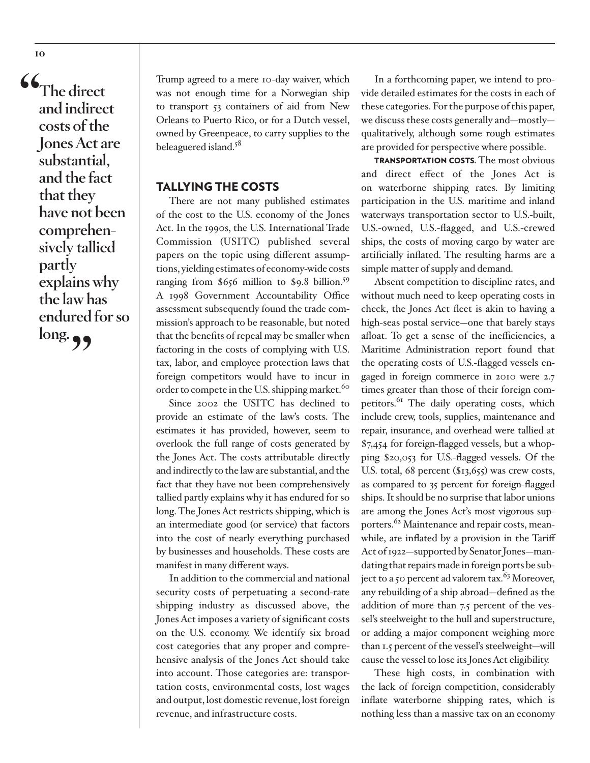**"The direct and indirect costs of the Jones Act are substantial, and the fact that they have not been comprehensively tallied partly explains why the law has endured for so long."**

Trump agreed to a mere 10-day waiver, which was not enough time for a Norwegian ship to transport 53 containers of aid from New Orleans to Puerto Rico, or for a Dutch vessel, owned by Greenpeace, to carry supplies to the beleaguered island.<sup>[58](#page-18-0)</sup>

#### TALLYING THE COSTS

There are not many published estimates of the cost to the U.S. economy of the Jones Act. In the 1990s, the U.S. International Trade Commission (USITC) published several papers on the topic using different assumptions, yielding estimates of economy-wide costs ranging from \$656 million to \$9.8 billion.<sup>[59](#page-19-0)</sup> A 1998 Government Accountability Office assessment subsequently found the trade commission's approach to be reasonable, but noted that the benefits of repeal may be smaller when factoring in the costs of complying with U.S. tax, labor, and employee protection laws that foreign competitors would have to incur in order to compete in the U.S. shipping market.<sup>60</sup>

Since 2002 the USITC has declined to provide an estimate of the law's costs. The estimates it has provided, however, seem to overlook the full range of costs generated by the Jones Act. The costs attributable directly and indirectly to the law are substantial, and the fact that they have not been comprehensively tallied partly explains why it has endured for so long. The Jones Act restricts shipping, which is an intermediate good (or service) that factors into the cost of nearly everything purchased by businesses and households. These costs are manifest in many different ways.

In addition to the commercial and national security costs of perpetuating a second-rate shipping industry as discussed above, the Jones Act imposes a variety of significant costs on the U.S. economy. We identify six broad cost categories that any proper and comprehensive analysis of the Jones Act should take into account. Those categories are: transportation costs, environmental costs, lost wages and output, lost domestic revenue, lost foreign revenue, and infrastructure costs.

In a forthcoming paper, we intend to provide detailed estimates for the costs in each of these categories. For the purpose of this paper, we discuss these costs generally and—mostly qualitatively, although some rough estimates are provided for perspective where possible.

TRANSPORTATION COSTS. The most obvious and direct effect of the Jones Act is on waterborne shipping rates. By limiting participation in the U.S. maritime and inland waterways transportation sector to U.S.-built, U.S.-owned, U.S.-flagged, and U.S.-crewed ships, the costs of moving cargo by water are artificially inflated. The resulting harms are a simple matter of supply and demand.

Absent competition to discipline rates, and without much need to keep operating costs in check, the Jones Act fleet is akin to having a high-seas postal service—one that barely stays afloat. To get a sense of the inefficiencies, a Maritime Administration report found that the operating costs of U.S.-flagged vessels engaged in foreign commerce in 2010 were 2.7 times greater than those of their foreign competitors.<sup>61</sup> The daily operating costs, which include crew, tools, supplies, maintenance and repair, insurance, and overhead were tallied at \$7,454 for foreign-flagged vessels, but a whopping \$20,053 for U.S.-flagged vessels. Of the U.S. total, 68 percent (\$13,655) was crew costs, as compared to 35 percent for foreign-flagged ships. It should be no surprise that labor unions are among the Jones Act's most vigorous sup-porters.<sup>[62](#page-19-0)</sup> Maintenance and repair costs, meanwhile, are inflated by a provision in the Tariff Act of 1922—supported by Senator Jones—mandating that repairs made in foreign ports be subject to a 50 percent ad valorem tax. $^{63}$  Moreover, any rebuilding of a ship abroad—defined as the addition of more than 7.5 percent of the vessel's steelweight to the hull and superstructure, or adding a major component weighing more than 1.5 percent of the vessel's steelweight—will cause the vessel to lose its Jones Act eligibility.

These high costs, in combination with the lack of foreign competition, considerably inflate waterborne shipping rates, which is nothing less than a massive tax on an economy

<span id="page-9-0"></span>**10**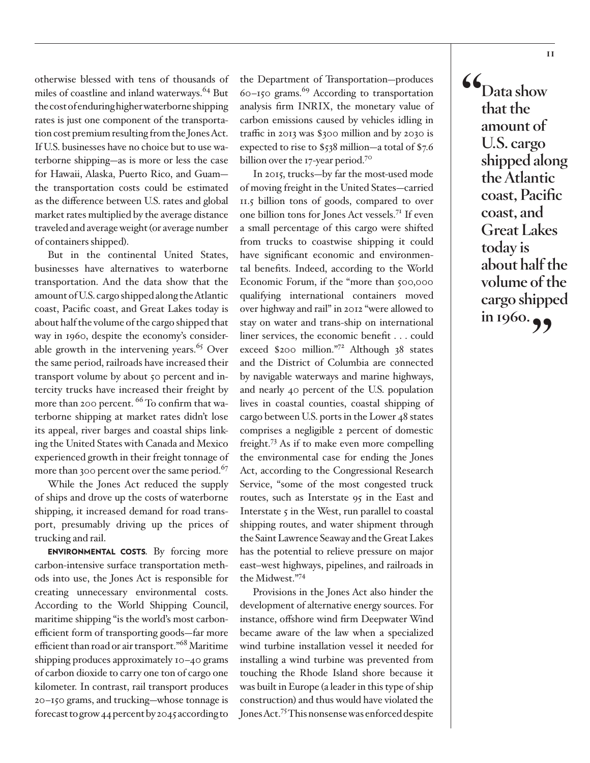<span id="page-10-0"></span>otherwise blessed with tens of thousands of miles of coastline and inland waterways.<sup>64</sup> But the cost of enduring higher waterborne shipping rates is just one component of the transportation cost premium resulting from the Jones Act. If U.S. businesses have no choice but to use waterborne shipping—as is more or less the case for Hawaii, Alaska, Puerto Rico, and Guam the transportation costs could be estimated as the difference between U.S. rates and global market rates multiplied by the average distance traveled and average weight (or average number of containers shipped).

But in the continental United States, businesses have alternatives to waterborne transportation. And the data show that the amount of U.S. cargo shipped along the Atlantic coast, Pacific coast, and Great Lakes today is about half the volume of the cargo shipped that way in 1960, despite the economy's considerable growth in the intervening years. $65$  Over the same period, railroads have increased their transport volume by about 50 percent and intercity trucks have increased their freight by more than 200 percent. <sup>66</sup> To confirm that waterborne shipping at market rates didn't lose its appeal, river barges and coastal ships linking the United States with Canada and Mexico experienced growth in their freight tonnage of more than 300 percent over the same period.<sup>67</sup>

While the Jones Act reduced the supply of ships and drove up the costs of waterborne shipping, it increased demand for road transport, presumably driving up the prices of trucking and rail.

ENVIRONMENTAL COSTS. By forcing more carbon-intensive surface transportation methods into use, the Jones Act is responsible for creating unnecessary environmental costs. According to the World Shipping Council, maritime shipping "is the world's most carbonefficient form of transporting goods—far more efficient than road or air transport."<sup>[68](#page-19-0)</sup> Maritime shipping produces approximately 10–40 grams of carbon dioxide to carry one ton of cargo one kilometer. In contrast, rail transport produces 20–150 grams, and trucking—whose tonnage is forecast to grow 44 percent by 2045 according to

the Department of Transportation—produces  $60 - 150$  grams.<sup>69</sup> According to transportation analysis firm INRIX, the monetary value of carbon emissions caused by vehicles idling in traffic in 2013 was \$300 million and by 2030 is expected to rise to \$538 million—a total of \$7.6 billion over the 17-year period.<sup>70</sup>

In 2015, trucks—by far the most-used mode of moving freight in the United States—carried 11.5 billion tons of goods, compared to over one billion tons for Jones Act vessels.[71](#page-19-0) If even a small percentage of this cargo were shifted from trucks to coastwise shipping it could have significant economic and environmental benefits. Indeed, according to the World Economic Forum, if the "more than 500,000 qualifying international containers moved over highway and rail" in 2012 "were allowed to stay on water and trans-ship on international liner services, the economic benefit . . . could exceed \$200 million."[72](#page-19-0) Although 38 states and the District of Columbia are connected by navigable waterways and marine highways, and nearly 40 percent of the U.S. population lives in coastal counties, coastal shipping of cargo between U.S. ports in the Lower 48 states comprises a negligible 2 percent of domestic freight.[73](#page-19-0) As if to make even more compelling the environmental case for ending the Jones Act, according to the Congressional Research Service, "some of the most congested truck routes, such as Interstate 95 in the East and Interstate  $\zeta$  in the West, run parallel to coastal shipping routes, and water shipment through the Saint Lawrence Seaway and the Great Lakes has the potential to relieve pressure on major east–west highways, pipelines, and railroads in the Midwest."[74](#page-19-0)

Provisions in the Jones Act also hinder the development of alternative energy sources. For instance, offshore wind firm Deepwater Wind became aware of the law when a specialized wind turbine installation vessel it needed for installing a wind turbine was prevented from touching the Rhode Island shore because it was built in Europe (a leader in this type of ship construction) and thus would have violated the Jones Act.<sup>75</sup> This nonsense was enforced despite

**"Data show that the amount of U.S. cargo shipped along the Atlantic coast, Pacific coast, and Great Lakes today is about half the volume of the cargo shipped in 1960.**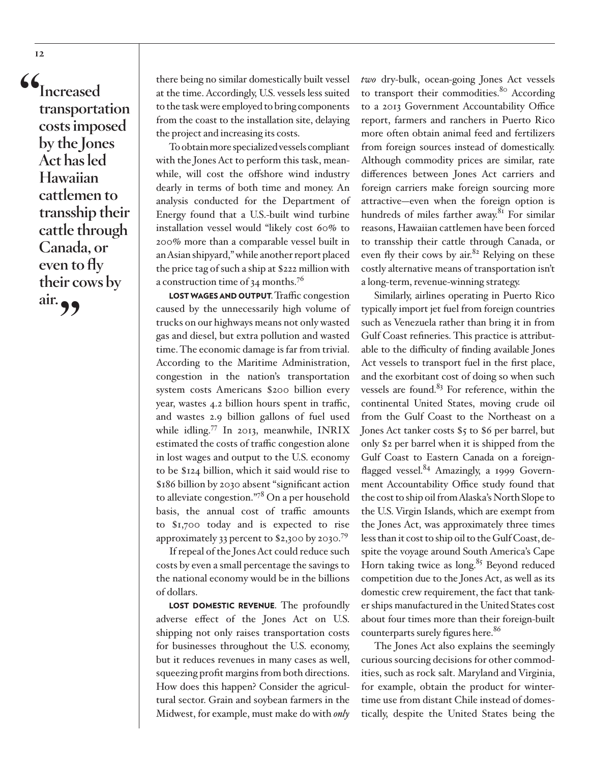<span id="page-11-0"></span>**"Increased transportation costs imposed by the Jones Act has led Hawaiian cattlemen to transship their cattle through Canada, or even to fly their cows by**  air. **99** 

there being no similar domestically built vessel at the time. Accordingly, U.S. vessels less suited to the task were employed to bring components from the coast to the installation site, delaying the project and increasing its costs.

To obtain more specialized vessels compliant with the Jones Act to perform this task, meanwhile, will cost the offshore wind industry dearly in terms of both time and money. An analysis conducted for the Department of Energy found that a U.S.-built wind turbine installation vessel would "likely cost 60% to 200% more than a comparable vessel built in an Asian shipyard," while another report placed the price tag of such a ship at \$222 million with a construction time of  $34$  months.<sup>76</sup>

LOST WAGES AND OUTPUT. Traffic congestion caused by the unnecessarily high volume of trucks on our highways means not only wasted gas and diesel, but extra pollution and wasted time. The economic damage is far from trivial. According to the Maritime Administration, congestion in the nation's transportation system costs Americans \$200 billion every year, wastes 4.2 billion hours spent in traffic, and wastes 2.9 billion gallons of fuel used while idling.[77](#page-20-0) In 2013, meanwhile, INRIX estimated the costs of traffic congestion alone in lost wages and output to the U.S. economy to be \$124 billion, which it said would rise to \$186 billion by 2030 absent "significant action to alleviate congestion.["78](#page-20-0) On a per household basis, the annual cost of traffic amounts to \$1,700 today and is expected to rise approximately 33 percent to \$2,300 by 2030.[79](#page-20-0)

If repeal of the Jones Act could reduce such costs by even a small percentage the savings to the national economy would be in the billions of dollars.

LOST DOMESTIC REVENUE. The profoundly adverse effect of the Jones Act on U.S. shipping not only raises transportation costs for businesses throughout the U.S. economy, but it reduces revenues in many cases as well, squeezing profit margins from both directions. How does this happen? Consider the agricultural sector. Grain and soybean farmers in the Midwest, for example, must make do with *only* 

*two* dry-bulk, ocean-going Jones Act vessels to transport their commodities.<sup>80</sup> According to a 2013 Government Accountability Office report, farmers and ranchers in Puerto Rico more often obtain animal feed and fertilizers from foreign sources instead of domestically. Although commodity prices are similar, rate differences between Jones Act carriers and foreign carriers make foreign sourcing more attractive—even when the foreign option is hundreds of miles farther away.<sup>[81](#page-20-0)</sup> For similar reasons, Hawaiian cattlemen have been forced to transship their cattle through Canada, or even fly their cows by air.<sup>82</sup> Relying on these costly alternative means of transportation isn't a long-term, revenue-winning strategy.

Similarly, airlines operating in Puerto Rico typically import jet fuel from foreign countries such as Venezuela rather than bring it in from Gulf Coast refineries. This practice is attributable to the difficulty of finding available Jones Act vessels to transport fuel in the first place, and the exorbitant cost of doing so when such vessels are found. $83$  For reference, within the continental United States, moving crude oil from the Gulf Coast to the Northeast on a Jones Act tanker costs \$5 to \$6 per barrel, but only \$2 per barrel when it is shipped from the Gulf Coast to Eastern Canada on a foreignflagged vessel.<sup>84</sup> Amazingly, a 1999 Government Accountability Office study found that the cost to ship oil from Alaska's North Slope to the U.S. Virgin Islands, which are exempt from the Jones Act, was approximately three times less than it cost to ship oil to the Gulf Coast, despite the voyage around South America's Cape Horn taking twice as  $long.^{85}$  Beyond reduced competition due to the Jones Act, as well as its domestic crew requirement, the fact that tanker ships manufactured in the United States cost about four times more than their foreign-built counterparts surely figures here.<sup>86</sup>

The Jones Act also explains the seemingly curious sourcing decisions for other commodities, such as rock salt. Maryland and Virginia, for example, obtain the product for wintertime use from distant Chile instead of domestically, despite the United States being the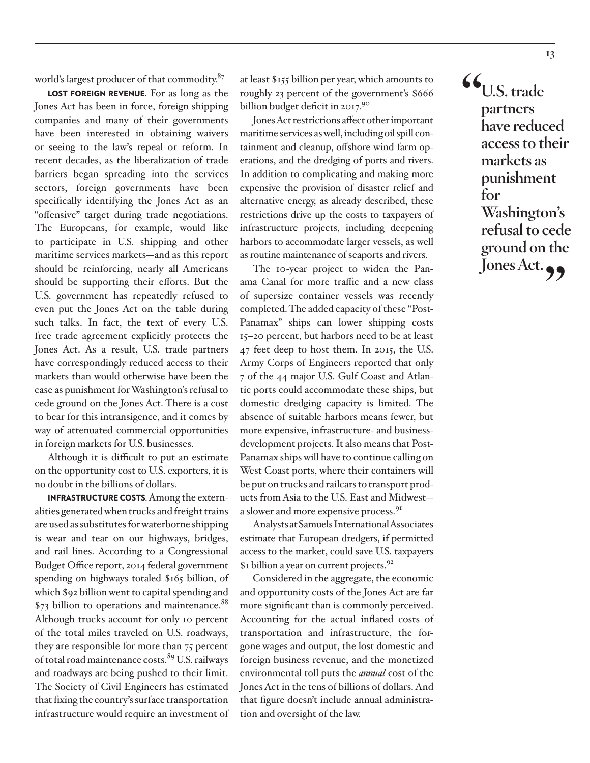<span id="page-12-0"></span>world's largest producer of that commodity.<sup>[87](#page-20-0)</sup>

LOST FOREIGN REVENUE. For as long as the Jones Act has been in force, foreign shipping companies and many of their governments have been interested in obtaining waivers or seeing to the law's repeal or reform. In recent decades, as the liberalization of trade barriers began spreading into the services sectors, foreign governments have been specifically identifying the Jones Act as an "offensive" target during trade negotiations. The Europeans, for example, would like to participate in U.S. shipping and other maritime services markets—and as this report should be reinforcing, nearly all Americans should be supporting their efforts. But the U.S. government has repeatedly refused to even put the Jones Act on the table during such talks. In fact, the text of every U.S. free trade agreement explicitly protects the Jones Act. As a result, U.S. trade partners have correspondingly reduced access to their markets than would otherwise have been the case as punishment for Washington's refusal to cede ground on the Jones Act. There is a cost to bear for this intransigence, and it comes by way of attenuated commercial opportunities in foreign markets for U.S. businesses.

Although it is difficult to put an estimate on the opportunity cost to U.S. exporters, it is no doubt in the billions of dollars.

INFRASTRUCTURE COSTS. Among the externalities generated when trucks and freight trains are used as substitutes for waterborne shipping is wear and tear on our highways, bridges, and rail lines. According to a Congressional Budget Office report, 2014 federal government spending on highways totaled \$165 billion, of which \$92 billion went to capital spending and  $$73$  billion to operations and maintenance.<sup>88</sup> Although trucks account for only 10 percent of the total miles traveled on U.S. roadways, they are responsible for more than 75 percent of total road maintenance costs.<sup>[89](#page-20-0)</sup> U.S. railways and roadways are being pushed to their limit. The Society of Civil Engineers has estimated that fixing the country's surface transportation infrastructure would require an investment of at least \$155 billion per year, which amounts to roughly 23 percent of the government's \$666 billion budget deficit in 2017[.90](#page-20-0)

Jones Act restrictions affect other important maritime services as well, including oil spill containment and cleanup, offshore wind farm operations, and the dredging of ports and rivers. In addition to complicating and making more expensive the provision of disaster relief and alternative energy, as already described, these restrictions drive up the costs to taxpayers of infrastructure projects, including deepening harbors to accommodate larger vessels, as well as routine maintenance of seaports and rivers.

The 10-year project to widen the Panama Canal for more traffic and a new class of supersize container vessels was recently completed. The added capacity of these "Post-Panamax" ships can lower shipping costs 15–20 percent, but harbors need to be at least 47 feet deep to host them. In 2015, the U.S. Army Corps of Engineers reported that only 7 of the 44 major U.S. Gulf Coast and Atlantic ports could accommodate these ships, but domestic dredging capacity is limited. The absence of suitable harbors means fewer, but more expensive, infrastructure- and businessdevelopment projects. It also means that Post-Panamax ships will have to continue calling on West Coast ports, where their containers will be put on trucks and railcars to transport products from Asia to the U.S. East and Midwest a slower and more expensive process.<sup>91</sup>

Analysts at Samuels International Associates estimate that European dredgers, if permitted access to the market, could save U.S. taxpayers \$1 billion a year on current projects.<sup>92</sup>

Considered in the aggregate, the economic and opportunity costs of the Jones Act are far more significant than is commonly perceived. Accounting for the actual inflated costs of transportation and infrastructure, the forgone wages and output, the lost domestic and foreign business revenue, and the monetized environmental toll puts the *annual* cost of the Jones Act in the tens of billions of dollars. And that figure doesn't include annual administration and oversight of the law.

**"U.S. trade partners have reduced access to their markets as punishment for Washington's refusal to cede ground on the**  Jones Act.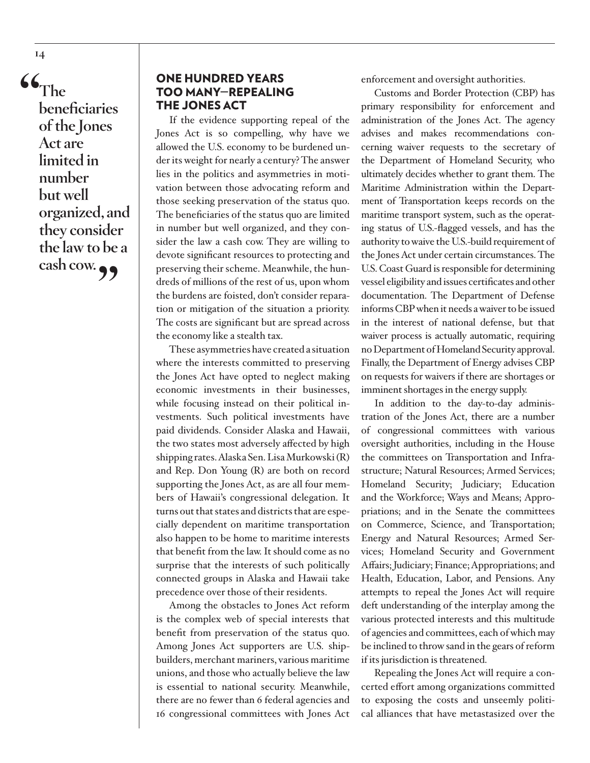**"The beneficiaries of the Jones Act are limited in number but well organized, and they consider the law to be a cash cow."**

# ONE HUNDRED YEARS TOO MANY—REPEALING THE JONES ACT

If the evidence supporting repeal of the Jones Act is so compelling, why have we allowed the U.S. economy to be burdened under its weight for nearly a century? The answer lies in the politics and asymmetries in motivation between those advocating reform and those seeking preservation of the status quo. The beneficiaries of the status quo are limited in number but well organized, and they consider the law a cash cow. They are willing to devote significant resources to protecting and preserving their scheme. Meanwhile, the hundreds of millions of the rest of us, upon whom the burdens are foisted, don't consider reparation or mitigation of the situation a priority. The costs are significant but are spread across the economy like a stealth tax.

These asymmetries have created a situation where the interests committed to preserving the Jones Act have opted to neglect making economic investments in their businesses, while focusing instead on their political investments. Such political investments have paid dividends. Consider Alaska and Hawaii, the two states most adversely affected by high shipping rates. Alaska Sen. Lisa Murkowski (R) and Rep. Don Young (R) are both on record supporting the Jones Act, as are all four members of Hawaii's congressional delegation. It turns out that states and districts that are especially dependent on maritime transportation also happen to be home to maritime interests that benefit from the law. It should come as no surprise that the interests of such politically connected groups in Alaska and Hawaii take precedence over those of their residents.

Among the obstacles to Jones Act reform is the complex web of special interests that benefit from preservation of the status quo. Among Jones Act supporters are U.S. shipbuilders, merchant mariners, various maritime unions, and those who actually believe the law is essential to national security. Meanwhile, there are no fewer than 6 federal agencies and 16 congressional committees with Jones Act

enforcement and oversight authorities.

Customs and Border Protection (CBP) has primary responsibility for enforcement and administration of the Jones Act. The agency advises and makes recommendations concerning waiver requests to the secretary of the Department of Homeland Security, who ultimately decides whether to grant them. The Maritime Administration within the Department of Transportation keeps records on the maritime transport system, such as the operating status of U.S.-flagged vessels, and has the authority to waive the U.S.-build requirement of the Jones Act under certain circumstances. The U.S. Coast Guard is responsible for determining vessel eligibility and issues certificates and other documentation. The Department of Defense informs CBP when it needs a waiver to be issued in the interest of national defense, but that waiver process is actually automatic, requiring no Department of Homeland Security approval. Finally, the Department of Energy advises CBP on requests for waivers if there are shortages or imminent shortages in the energy supply.

In addition to the day-to-day administration of the Jones Act, there are a number of congressional committees with various oversight authorities, including in the House the committees on Transportation and Infrastructure; Natural Resources; Armed Services; Homeland Security; Judiciary; Education and the Workforce; Ways and Means; Appropriations; and in the Senate the committees on Commerce, Science, and Transportation; Energy and Natural Resources; Armed Services; Homeland Security and Government Affairs; Judiciary; Finance; Appropriations; and Health, Education, Labor, and Pensions. Any attempts to repeal the Jones Act will require deft understanding of the interplay among the various protected interests and this multitude of agencies and committees, each of which may be inclined to throw sand in the gears of reform if its jurisdiction is threatened.

Repealing the Jones Act will require a concerted effort among organizations committed to exposing the costs and unseemly political alliances that have metastasized over the

**14**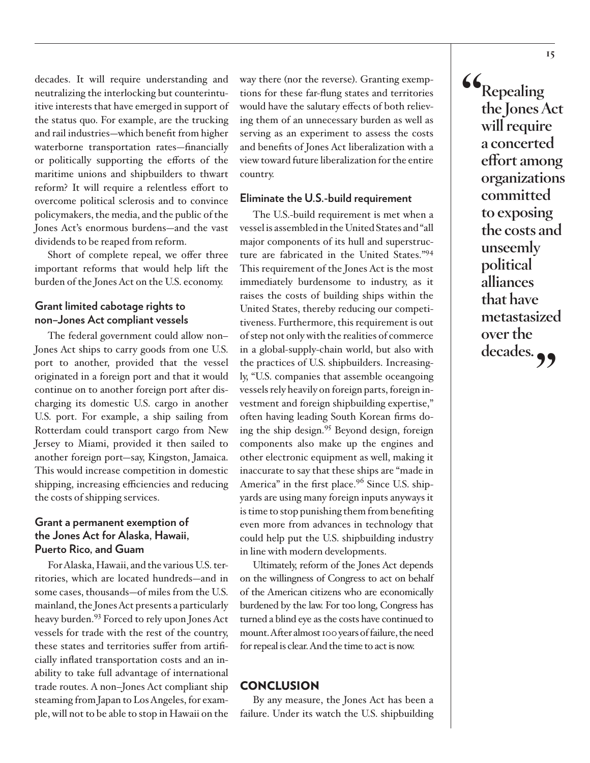<span id="page-14-0"></span>decades. It will require understanding and neutralizing the interlocking but counterintuitive interests that have emerged in support of the status quo. For example, are the trucking and rail industries—which benefit from higher waterborne transportation rates—financially or politically supporting the efforts of the maritime unions and shipbuilders to thwart reform? It will require a relentless effort to overcome political sclerosis and to convince policymakers, the media, and the public of the Jones Act's enormous burdens—and the vast dividends to be reaped from reform.

Short of complete repeal, we offer three important reforms that would help lift the burden of the Jones Act on the U.S. economy.

## **Grant limited cabotage rights to non–Jones Act compliant vessels**

The federal government could allow non– Jones Act ships to carry goods from one U.S. port to another, provided that the vessel originated in a foreign port and that it would continue on to another foreign port after discharging its domestic U.S. cargo in another U.S. port. For example, a ship sailing from Rotterdam could transport cargo from New Jersey to Miami, provided it then sailed to another foreign port—say, Kingston, Jamaica. This would increase competition in domestic shipping, increasing efficiencies and reducing the costs of shipping services.

#### **Grant a permanent exemption of the Jones Act for Alaska, Hawaii, Puerto Rico, and Guam**

For Alaska, Hawaii, and the various U.S. territories, which are located hundreds—and in some cases, thousands—of miles from the U.S. mainland, the Jones Act presents a particularly heavy burden.<sup>93</sup> Forced to rely upon Jones Act vessels for trade with the rest of the country, these states and territories suffer from artificially inflated transportation costs and an inability to take full advantage of international trade routes. A non–Jones Act compliant ship steaming from Japan to Los Angeles, for example, will not to be able to stop in Hawaii on the way there (nor the reverse). Granting exemptions for these far-flung states and territories would have the salutary effects of both relieving them of an unnecessary burden as well as serving as an experiment to assess the costs and benefits of Jones Act liberalization with a view toward future liberalization for the entire country.

#### **Eliminate the U.S.-build requirement**

The U.S.-build requirement is met when a vessel is assembled in the United States and "all major components of its hull and superstructure are fabricated in the United States."[94](#page-20-0) This requirement of the Jones Act is the most immediately burdensome to industry, as it raises the costs of building ships within the United States, thereby reducing our competitiveness. Furthermore, this requirement is out of step not only with the realities of commerce in a global-supply-chain world, but also with the practices of U.S. shipbuilders. Increasingly, "U.S. companies that assemble oceangoing vessels rely heavily on foreign parts, foreign investment and foreign shipbuilding expertise," often having leading South Korean firms doing the ship design.[95](#page-20-0) Beyond design, foreign components also make up the engines and other electronic equipment as well, making it inaccurate to say that these ships are "made in America" in the first place.<sup>96</sup> Since U.S. shipyards are using many foreign inputs anyways it is time to stop punishing them from benefiting even more from advances in technology that could help put the U.S. shipbuilding industry in line with modern developments.

Ultimately, reform of the Jones Act depends on the willingness of Congress to act on behalf of the American citizens who are economically burdened by the law. For too long, Congress has turned a blind eye as the costs have continued to mount. After almost 100 years of failure, the need for repeal is clear. And the time to act is now.

#### **CONCLUSION**

By any measure, the Jones Act has been a failure. Under its watch the U.S. shipbuilding **"Repealing the Jones Act will require a concerted effort among organizations committed to exposing the costs and unseemly political alliances that have metastasized over the**  decades.<sub>?</sub>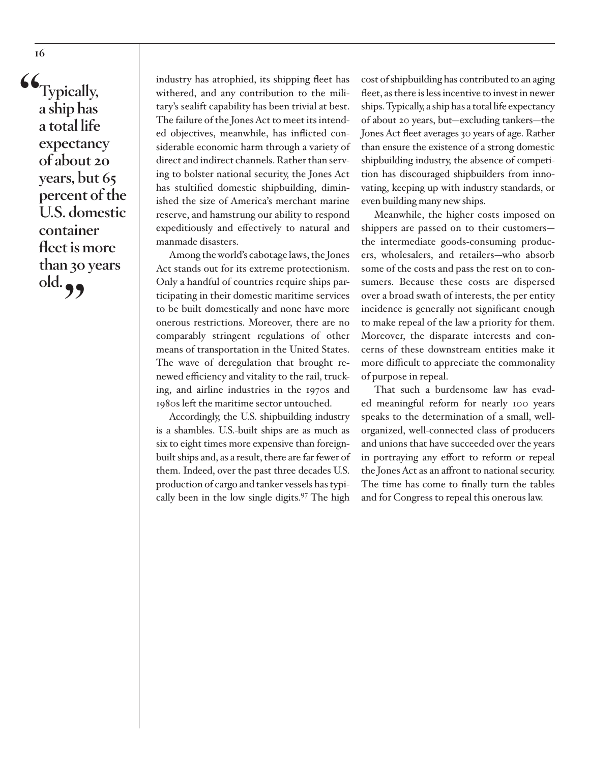<span id="page-15-0"></span>**"Typically, a ship has a total life expectancy of about 20 years, but 65 percent of the U.S. domestic container fleet is more than 30 years old."**

industry has atrophied, its shipping fleet has withered, and any contribution to the military's sealift capability has been trivial at best. The failure of the Jones Act to meet its intended objectives, meanwhile, has inflicted considerable economic harm through a variety of direct and indirect channels. Rather than serving to bolster national security, the Jones Act has stultified domestic shipbuilding, diminished the size of America's merchant marine reserve, and hamstrung our ability to respond expeditiously and effectively to natural and manmade disasters.

Among the world's cabotage laws, the Jones Act stands out for its extreme protectionism. Only a handful of countries require ships participating in their domestic maritime services to be built domestically and none have more onerous restrictions. Moreover, there are no comparably stringent regulations of other means of transportation in the United States. The wave of deregulation that brought renewed efficiency and vitality to the rail, trucking, and airline industries in the 1970s and 1980s left the maritime sector untouched.

Accordingly, the U.S. shipbuilding industry is a shambles. U.S.-built ships are as much as six to eight times more expensive than foreignbuilt ships and, as a result, there are far fewer of them. Indeed, over the past three decades U.S. production of cargo and tanker vessels has typically been in the low single digits[.97](#page-20-0) The high

cost of shipbuilding has contributed to an aging fleet, as there is less incentive to invest in newer ships. Typically, a ship has a total life expectancy of about 20 years, but—excluding tankers—the Jones Act fleet averages 30 years of age. Rather than ensure the existence of a strong domestic shipbuilding industry, the absence of competition has discouraged shipbuilders from innovating, keeping up with industry standards, or even building many new ships.

Meanwhile, the higher costs imposed on shippers are passed on to their customers the intermediate goods-consuming producers, wholesalers, and retailers—who absorb some of the costs and pass the rest on to consumers. Because these costs are dispersed over a broad swath of interests, the per entity incidence is generally not significant enough to make repeal of the law a priority for them. Moreover, the disparate interests and concerns of these downstream entities make it more difficult to appreciate the commonality of purpose in repeal.

That such a burdensome law has evaded meaningful reform for nearly 100 years speaks to the determination of a small, wellorganized, well-connected class of producers and unions that have succeeded over the years in portraying any effort to reform or repeal the Jones Act as an affront to national security. The time has come to finally turn the tables and for Congress to repeal this onerous law.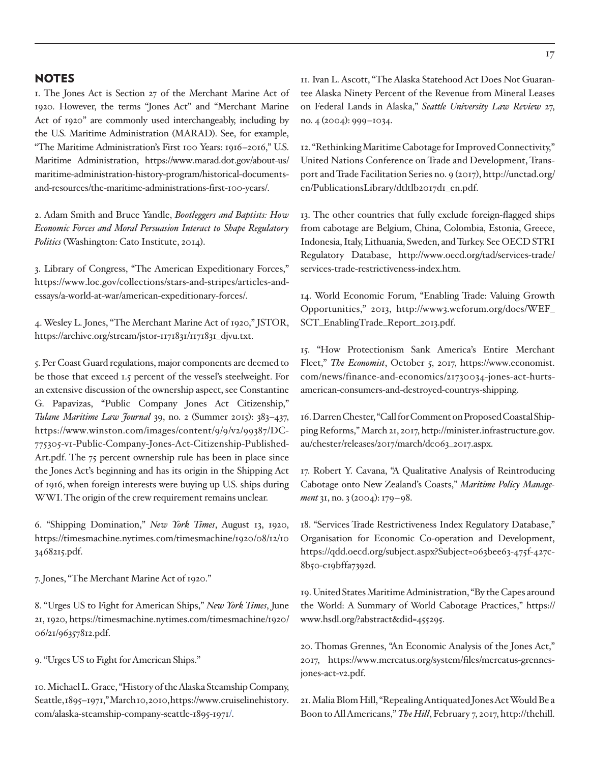#### <span id="page-16-0"></span>**NOTES**

[1.](#page-1-0) The Jones Act is Section 27 of the Merchant Marine Act of 1920. However, the terms "Jones Act" and "Merchant Marine Act of 1920" are commonly used interchangeably, including by the U.S. Maritime Administration (MARAD). See, for example, "The Maritime Administration's First 100 Years: 1916–2016," U.S. Maritime Administration, [https://www.marad.dot.gov/about-us/](https://www.marad.dot.gov/about-us/maritime-administration-history-program/historical-documents-and-resources/the-maritime-administrations-first-100-years/) [maritime-administration-history-program/historical-documents](https://www.marad.dot.gov/about-us/maritime-administration-history-program/historical-documents-and-resources/the-maritime-administrations-first-100-years/)[and-resources/the-maritime-administrations-first-100-years/](https://www.marad.dot.gov/about-us/maritime-administration-history-program/historical-documents-and-resources/the-maritime-administrations-first-100-years/).

[2](#page-2-0). Adam Smith and Bruce Yandle, *Bootleggers and Baptists: How Economic Forces and Moral Persuasion Interact to Shape Regulatory Politics* (Washington: Cato Institute, 2014).

[3.](#page-2-0) Library of Congress, "The American Expeditionary Forces," [https://www.loc.gov/collections/stars-and-stripes/articles-and](https://www.loc.gov/collections/stars-and-stripes/articles-and-essays/a-world-at-war/american-expedi)[essays/a-world-at-war/american-expeditionary-forces/.](https://www.loc.gov/collections/stars-and-stripes/articles-and-essays/a-world-at-war/american-expedi)

[4](#page-2-0). Wesley L. Jones, "The Merchant Marine Act of 1920," JSTOR, [https://archive.org/stream/jstor-1171831/1171831\\_djvu.txt.](https://archive.org/stream/jstor-1171831/1171831_djvu.txt)

[5.](#page-2-0) Per Coast Guard regulations, major components are deemed to be those that exceed 1.5 percent of the vessel's steelweight. For an extensive discussion of the ownership aspect, see Constantine G. Papavizas, "Public Company Jones Act Citizenship," *Tulane Maritime Law Journal* 39, no. 2 (Summer 2015): 383–437, [https://www.winston.com/images/content/9/9/v2/99387/DC-](https://www.winston.com/images/content/9/9/v2/99387/DC-775305-v1-Public-Company-Jones-Act-Citizenship-Published-Art.pdf)[775305-v1-Public-Company-Jones-Act-Citizenship-Published-](https://www.winston.com/images/content/9/9/v2/99387/DC-775305-v1-Public-Company-Jones-Act-Citizenship-Published-Art.pdf)[Art.pdf.](https://www.winston.com/images/content/9/9/v2/99387/DC-775305-v1-Public-Company-Jones-Act-Citizenship-Published-Art.pdf) The 75 percent ownership rule has been in place since the Jones Act's beginning and has its origin in the Shipping Act of 1916, when foreign interests were buying up U.S. ships during WWI. The origin of the crew requirement remains unclear.

[6](#page-3-0). "Shipping Domination," *New York Times*, August 13, 1920, [https://timesmachine.nytimes.com/timesmachine/1920/08/12/10](https://timesmachine.nytimes.com/timesmachine/1920/08/12/103468215.pdf) [3468215.pdf](https://timesmachine.nytimes.com/timesmachine/1920/08/12/103468215.pdf).

[7.](#page-3-0) Jones, "The Merchant Marine Act of 1920."

[8.](#page-3-0) "Urges US to Fight for American Ships," *New York Times*, June 21, 1920, [https://timesmachine.nytimes.com/timesmachine/1920/](https://www.winston.com/images/content/9/9/v2/99387/DC-775305-v1-Public-Company-Jones-Act-Citizenship-Published-Art.pdf) [06/21/96357812.pdf](https://www.winston.com/images/content/9/9/v2/99387/DC-775305-v1-Public-Company-Jones-Act-Citizenship-Published-Art.pdf).

[9](#page-3-0). "Urges US to Fight for American Ships."

[10](#page-3-0). Michael L. Grace, "History of the Alaska Steamship Company, Seattle, 1895–1971," March 10, 2010, [https://www.cruiselinehistory.](https://www.cruiselinehistory.com/alaska-steamship-company-seattle-1895-1971) [com/alaska-steamship-company-seattle-1895-1971/](https://www.cruiselinehistory.com/alaska-steamship-company-seattle-1895-1971).

[11](#page-3-0). Ivan L. Ascott, "The Alaska Statehood Act Does Not Guarantee Alaska Ninety Percent of the Revenue from Mineral Leases on Federal Lands in Alaska," *Seattle University Law Review* 27, no. 4 (2004): 999–1034.

[12](#page-3-0). "Rethinking Maritime Cabotage for Improved Connectivity," United Nations Conference on Trade and Development, Transport and Trade Facilitation Series no. 9 (2017), [http://unctad.org/](http://unctad.org/en/PublicationsLibrary/dtltlb2017d1_en.pdf) [en/PublicationsLibrary/dtltlb2017d1\\_en.pdf](http://unctad.org/en/PublicationsLibrary/dtltlb2017d1_en.pdf).

[13.](#page-3-0) The other countries that fully exclude foreign-flagged ships from cabotage are Belgium, China, Colombia, Estonia, Greece, Indonesia, Italy, Lithuania, Sweden, and Turkey. See OECD STRI Regulatory Database, http://www.oecd.org/tad/services-trade/ services-trade-restrictiveness-index.htm.

[14.](#page-3-0) World Economic Forum, "Enabling Trade: Valuing Growth Opportunities," 2013, [http://www3.weforum.org/docs/WEF\\_](http://www3.weforum.org/docs/WEF_SCT_EnablingTrade_Report_2013.pdf) [SCT\\_EnablingTrade\\_Report\\_2013.pdf.](http://www3.weforum.org/docs/WEF_SCT_EnablingTrade_Report_2013.pdf)

[15](#page-4-0). "How Protectionism Sank America's Entire Merchant Fleet," *The Economist*, October 5, 2017, [https://www.economist.](https://www.economist.com/news/finance-and-economics/21730034-jones-act-hurts-american-consumers-and-destroyed-countrys-shipping) [com/news/finance-and-economics/21730034-jones-act-hurts](https://www.economist.com/news/finance-and-economics/21730034-jones-act-hurts-american-consumers-and-destroyed-countrys-shipping)[american-consumers-and-destroyed-countrys-shipping](https://www.economist.com/news/finance-and-economics/21730034-jones-act-hurts-american-consumers-and-destroyed-countrys-shipping).

[16.](#page-4-0) Darren Chester, "Call for Comment on Proposed Coastal Shipping Reforms," March 21, 2017, http://minister.infrastructure.gov. au/chester/releases/2017/march/dc063\_2017.aspx.

[17](#page-4-0). Robert Y. Cavana, "A Qualitative Analysis of Reintroducing Cabotage onto New Zealand's Coasts," *Maritime Policy Management* 31, no. 3 (2004): 179–98.

[18](#page-4-0). "Services Trade Restrictiveness Index Regulatory Database," Organisation for Economic Co-operation and Development, https://qdd.oecd.org/subject.aspx?Subject=063bee63-475f-427c-8b50-c19bffa7392d.

[19.](#page-4-0) United States Maritime Administration, "By the Capes around the World: A Summary of World Cabotage Practices," https:// www.hsdl.org/?abstract&did=455295.

[20.](#page-5-0) Thomas Grennes, "An Economic Analysis of the Jones Act," 2017, https://www.mercatus.org/system/files/mercatus-grennesjones-act-v2.pdf.

[21](#page-5-0). Malia Blom Hill, "Repealing Antiquated Jones Act Would Be a Boon to All Americans," *The Hill*, February 7, 2017, [http://thehill.](http://thehill.com/opinion/international/372744-repealing-antiquated-jones-act-would-be-a-boon-to-all-americans)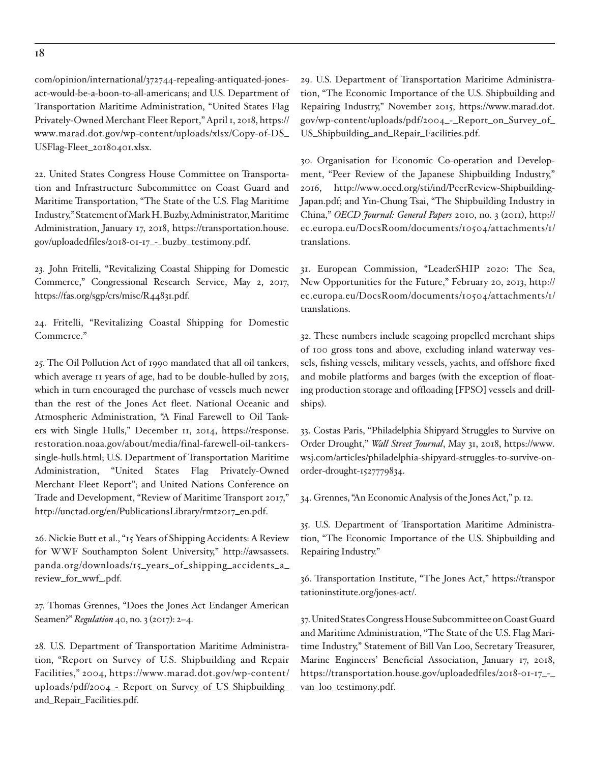<span id="page-17-0"></span>[com/opinion/international/372744-repealing-antiquated-jones](http://thehill.com/opinion/international/372744-repealing-antiquated-jones-act-would-be-a-boon-to-all-americans)[act-would-be-a-boon-to-all-americans](http://thehill.com/opinion/international/372744-repealing-antiquated-jones-act-would-be-a-boon-to-all-americans); and U.S. Department of Transportation Maritime Administration, "United States Flag Privately-Owned Merchant Fleet Report," April 1, 2018, [https://](https://www.marad.dot.gov/wp-content/uploads/xlsx/Copy-of-DS_USFlag-Fleet_20180401.xlsx) [www.marad.dot.gov/wp-content/uploads/xlsx/Copy-of-DS\\_](https://www.marad.dot.gov/wp-content/uploads/xlsx/Copy-of-DS_USFlag-Fleet_20180401.xlsx) [USFlag-Fleet\\_20180401.xlsx.](https://www.marad.dot.gov/wp-content/uploads/xlsx/Copy-of-DS_USFlag-Fleet_20180401.xlsx)

[22.](#page-5-0) United States Congress House Committee on Transportation and Infrastructure Subcommittee on Coast Guard and Maritime Transportation, "The State of the U.S. Flag Maritime Industry," Statement of Mark H. Buzby, Administrator, Maritime Administration, January 17, 2018, [https://transportation.house.](https://transportation.house.gov/uploadedfiles/2018-01-17_-_buzby_testimony.pdf) [gov/uploadedfiles/2018-01-17\\_-\\_buzby\\_testimony.pdf.](https://transportation.house.gov/uploadedfiles/2018-01-17_-_buzby_testimony.pdf)

[23](#page-5-0). John Fritelli, "Revitalizing Coastal Shipping for Domestic Commerce," Congressional Research Service, May 2, 2017, [https://fas.org/sgp/crs/misc/R44831.pdf.](https://fas.org/sgp/crs/misc/R44831.pdf)

[24](#page-5-0). Fritelli, "Revitalizing Coastal Shipping for Domestic Commerce."

[25](#page-5-0). The Oil Pollution Act of 1990 mandated that all oil tankers, which average 11 years of age, had to be double-hulled by 2015, which in turn encouraged the purchase of vessels much newer than the rest of the Jones Act fleet. National Oceanic and Atmospheric Administration, "A Final Farewell to Oil Tankers with Single Hulls," December 11, 2014, [https://response.](https://response.restoration.noaa.gov/about/media/final-farewell-oil-tankers-single-hulls.html) [restoration.noaa.gov/about/media/final-farewell-oil-tankers](https://response.restoration.noaa.gov/about/media/final-farewell-oil-tankers-single-hulls.html)[single-hulls.html;](https://response.restoration.noaa.gov/about/media/final-farewell-oil-tankers-single-hulls.html) U.S. Department of Transportation Maritime Administration, "United States Flag Privately-Owned Merchant Fleet Report"; and United Nations Conference on Trade and Development, "Review of Maritime Transport 2017," [http://unctad.org/en/PublicationsLibrary/rmt2017\\_en.pdf.](http://unctad.org/en/PublicationsLibrary/rmt2017_en.pdf)

[26.](#page-5-0) Nickie Butt et al., "15 Years of Shipping Accidents: A Review for WWF Southampton Solent University," [http://awsassets.](http://awsassets.panda.org/downloads/15_years_of_shipping_accidents_a_review_for_wwf_.pdf) [panda.org/downloads/15\\_years\\_of\\_shipping\\_accidents\\_a\\_](http://awsassets.panda.org/downloads/15_years_of_shipping_accidents_a_review_for_wwf_.pdf) [review\\_for\\_wwf\\_.pdf](http://awsassets.panda.org/downloads/15_years_of_shipping_accidents_a_review_for_wwf_.pdf).

[27](#page-5-0). Thomas Grennes, "Does the Jones Act Endanger American Seamen?" *Regulation* 40, no. 3 (2017): 2–4.

[28](#page-5-0). U.S. Department of Transportation Maritime Administration, "Report on Survey of U.S. Shipbuilding and Repair Facilities," 2004, [https://www.marad.dot.gov/wp-content/](https://www.marad.dot.gov/wp-content/uploads/pdf/2004_-_Report_on_Survey_of_US_Shipbuilding_and_Repair_Facilities.pdf) [uploads/pdf/2004\\_-\\_Report\\_on\\_Survey\\_of\\_US\\_Shipbuilding\\_](https://www.marad.dot.gov/wp-content/uploads/pdf/2004_-_Report_on_Survey_of_US_Shipbuilding_and_Repair_Facilities.pdf) [and\\_Repair\\_Facilities.pdf.](https://www.marad.dot.gov/wp-content/uploads/pdf/2004_-_Report_on_Survey_of_US_Shipbuilding_and_Repair_Facilities.pdf)

[29.](#page-5-0) U.S. Department of Transportation Maritime Administration, "The Economic Importance of the U.S. Shipbuilding and Repairing Industry," November 2015, [https://www.marad.dot.](https://www.marad.dot.gov/wp-content/uploads/pdf/2004_-_Report_on_Survey_of_US_Shipbuilding_and_Repair_Facilities.pdf) [gov/wp-content/uploads/pdf/2004\\_-\\_Report\\_on\\_Survey\\_of\\_](https://www.marad.dot.gov/wp-content/uploads/pdf/2004_-_Report_on_Survey_of_US_Shipbuilding_and_Repair_Facilities.pdf) [US\\_Shipbuilding\\_and\\_Repair\\_Facilities.pdf](https://www.marad.dot.gov/wp-content/uploads/pdf/2004_-_Report_on_Survey_of_US_Shipbuilding_and_Repair_Facilities.pdf).

[30.](#page-5-0) Organisation for Economic Co-operation and Development, "Peer Review of the Japanese Shipbuilding Industry," 2016, [http://www.oecd.org/sti/ind/PeerReview-Shipbuilding-](http://www.oecd.org/sti/ind/PeerReview-Shipbuilding-Japan.pdf)[Japan.pdf](http://www.oecd.org/sti/ind/PeerReview-Shipbuilding-Japan.pdf); and Yin-Chung Tsai, "The Shipbuilding Industry in China," *OECD Journal: General Papers* 2010, no. 3 (2011), [http://](http://ec.europa.eu/DocsRoom/documents/10504/attachments/1/translations) [ec.europa.eu/DocsRoom/documents/10504/attachments/1/](http://ec.europa.eu/DocsRoom/documents/10504/attachments/1/translations) [translations](http://ec.europa.eu/DocsRoom/documents/10504/attachments/1/translations).

[31.](#page-5-0) European Commission, "LeaderSHIP 2020: The Sea, New Opportunities for the Future," February 20, 2013, [http://](http://ec.europa.eu/DocsRoom/documents/10504/attachments/1/translations) [ec.europa.eu/DocsRoom/documents/10504/attachments/1/](http://ec.europa.eu/DocsRoom/documents/10504/attachments/1/translations) [translations](http://ec.europa.eu/DocsRoom/documents/10504/attachments/1/translations).

[32.](#page-5-0) These numbers include seagoing propelled merchant ships of 100 gross tons and above, excluding inland waterway vessels, fishing vessels, military vessels, yachts, and offshore fixed and mobile platforms and barges (with the exception of floating production storage and offloading [FPSO] vessels and drillships).

[33.](#page-6-0) Costas Paris, "Philadelphia Shipyard Struggles to Survive on Order Drought," *Wall Street Journal*, May 31, 2018, [https://www.](https://www.wsj.com/articles/philadelphia-shipyard-struggles-to-survive-on-order-drought-1527779834) [wsj.com/articles/philadelphia-shipyard-struggles-to-survive-on](https://www.wsj.com/articles/philadelphia-shipyard-struggles-to-survive-on-order-drought-1527779834)[order-drought-1527779834.](https://www.wsj.com/articles/philadelphia-shipyard-struggles-to-survive-on-order-drought-1527779834)

[34](#page-6-0). Grennes, "An Economic Analysis of the Jones Act," p. 12.

[35.](#page-6-0) U.S. Department of Transportation Maritime Administration, "The Economic Importance of the U.S. Shipbuilding and Repairing Industry."

[36](#page-6-0). Transportation Institute, "The Jones Act," https://transpor tationinstitute.org/jones-act/.

[37.](#page-6-0) United States Congress House Subcommittee on Coast Guard and Maritime Administration, "The State of the U.S. Flag Maritime Industry," Statement of Bill Van Loo, Secretary Treasurer, Marine Engineers' Beneficial Association, January 17, 2018, https://transportation.house.gov/uploadedfiles/2018-01-17\_-\_ van\_loo\_testimony.pdf.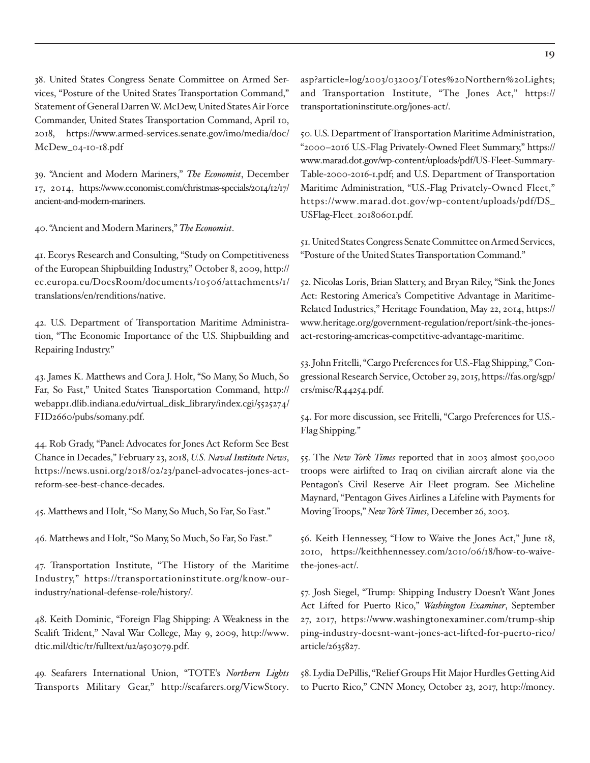<span id="page-18-0"></span>[38.](#page-6-0) United States Congress Senate Committee on Armed Services, "Posture of the United States Transportation Command," Statement of General Darren W. McDew, United States Air Force Commander, United States Transportation Command, April 10, 2018, [https://www.armed-services.senate.gov/imo/media/doc/](https://www.armed-services.senate.gov/imo/media/doc/McDew_04-10-18.pdf) [McDew\\_04-10-18.pdf](https://www.armed-services.senate.gov/imo/media/doc/McDew_04-10-18.pdf)

[39](#page-6-0). "Ancient and Modern Mariners," *The Economist*, December 17, 2014, https://www.economist.com/christmas-specials/2014/12/17/ ancient-and-modern-mariners.

[40.](#page-6-0) "Ancient and Modern Mariners," *The Economist*.

[41.](#page-7-0) Ecorys Research and Consulting, "Study on Competitiveness of the European Shipbuilding Industry," October 8, 2009, [http://](http://ec.europa.eu/DocsRoom/documents/10506/attachments/1/translations/en/renditions/native) [ec.europa.eu/DocsRoom/documents/10506/attachments/1/](http://ec.europa.eu/DocsRoom/documents/10506/attachments/1/translations/en/renditions/native) [translations/en/renditions/native.](http://ec.europa.eu/DocsRoom/documents/10506/attachments/1/translations/en/renditions/native)

[42.](#page-7-0) U.S. Department of Transportation Maritime Administration, "The Economic Importance of the U.S. Shipbuilding and Repairing Industry."

[43](#page-7-0). James K. Matthews and Cora J. Holt, "So Many, So Much, So Far, So Fast," United States Transportation Command, [http://](http://webapp1.dlib.indiana.edu/virtual_disk_library/index.cgi/5525274/FID2660/pubs/somany.pdf) [webapp1.dlib.indiana.edu/virtual\\_disk\\_library/index.cgi/5525274/](http://webapp1.dlib.indiana.edu/virtual_disk_library/index.cgi/5525274/FID2660/pubs/somany.pdf) [FID2660/pubs/somany.pdf.](http://webapp1.dlib.indiana.edu/virtual_disk_library/index.cgi/5525274/FID2660/pubs/somany.pdf)

[44.](#page-7-0) Rob Grady, "Panel: Advocates for Jones Act Reform See Best Chance in Decades," February 23, 2018, *U.S. Naval Institute News*, [https://news.usni.org/2018/02/23/panel-advocates-jones-act](https://news.usni.org/2018/02/23/panel-advocates-jones-act-reform-see-best-chance-decades)[reform-see-best-chance-decades](https://news.usni.org/2018/02/23/panel-advocates-jones-act-reform-see-best-chance-decades).

[45.](#page-7-0) Matthews and Holt, "So Many, So Much, So Far, So Fast."

[46](#page-7-0). Matthews and Holt, "So Many, So Much, So Far, So Fast."

[47.](#page-7-0) Transportation Institute, "The History of the Maritime Industry," [https://transportationinstitute.org/know-our](https://transportationinstitute.org/know-our-industry/national-defense-role/history/)[industry/national-defense-role/history/](https://transportationinstitute.org/know-our-industry/national-defense-role/history/).

[48.](#page-7-0) Keith Dominic, "Foreign Flag Shipping: A Weakness in the Sealift Trident," Naval War College, May 9, 2009, [http://www.](http://www.dtic.mil/dtic/tr/fulltext/u2/a503079.pdf) [dtic.mil/dtic/tr/fulltext/u2/a503079.pdf](http://www.dtic.mil/dtic/tr/fulltext/u2/a503079.pdf).

[49.](#page-8-0) Seafarers International Union, "TOTE's *Northern Lights* Transports Military Gear," [http://seafarers.org/ViewStory.](http://seafarers.org/ViewStory.asp?article=log/2003/032003/Totes%20Northern%20Lights) [asp?article=log/2003/032003/Totes%20Northern%20Lights;](http://seafarers.org/ViewStory.asp?article=log/2003/032003/Totes%20Northern%20Lights) and Transportation Institute, "The Jones Act," [https://](https://transportationinstitute.org/jones-act/) [transportationinstitute.org/jones-act/](https://transportationinstitute.org/jones-act/).

[50.](#page-8-0) U.S. Department of Transportation Maritime Administration, "2000–2016 U.S.-Flag Privately-Owned Fleet Summary," [https://](https://www.marad.dot.gov/wp-content/uploads/pdf/US-Fleet-Summary-Table-2000-2016-1.pdf) [www.marad.dot.gov/wp-content/uploads/pdf/US-Fleet-Summary-](https://www.marad.dot.gov/wp-content/uploads/pdf/US-Fleet-Summary-Table-2000-2016-1.pdf)[Table-2000-2016-1.pdf](https://www.marad.dot.gov/wp-content/uploads/pdf/US-Fleet-Summary-Table-2000-2016-1.pdf); and U.S. Department of Transportation Maritime Administration, "U.S.-Flag Privately-Owned Fleet," [https://www.marad.dot.gov/wp-content/uploads/pdf/DS\\_](https://www.marad.dot.gov/wp-content/uploads/pdf/DS_USFlag-Fleet_20180601.pdf) [USFlag-Fleet\\_20180601.pdf.](https://www.marad.dot.gov/wp-content/uploads/pdf/DS_USFlag-Fleet_20180601.pdf)

[51.](#page-8-0) United States Congress Senate Committee on Armed Services, "Posture of the United States Transportation Command."

[52](#page-8-0). Nicolas Loris, Brian Slattery, and Bryan Riley, "Sink the Jones Act: Restoring America's Competitive Advantage in Maritime-Related Industries," Heritage Foundation, May 22, 2014, [https://](https://www.heritage.org/government-regulation/report/sink-the-jones-act-restoring-americas-competitive-advantage-maritime) [www.heritage.org/government-regulation/report/sink-the-jones](https://www.heritage.org/government-regulation/report/sink-the-jones-act-restoring-americas-competitive-advantage-maritime)[act-restoring-americas-competitive-advantage-maritime.](https://www.heritage.org/government-regulation/report/sink-the-jones-act-restoring-americas-competitive-advantage-maritime)

[53.](#page-8-0) John Fritelli, "Cargo Preferences for U.S.-Flag Shipping," Congressional Research Service, October 29, 2015, [https://fas.org/sgp/](https://fas.org/sgp/crs/misc/R44254.pdf) [crs/misc/R44254.pdf](https://fas.org/sgp/crs/misc/R44254.pdf).

[54](#page-8-0). For more discussion, see Fritelli, "Cargo Preferences for U.S.- Flag Shipping."

[55.](#page-8-0) The *New York Times* reported that in 2003 almost 500,000 troops were airlifted to Iraq on civilian aircraft alone via the Pentagon's Civil Reserve Air Fleet program. See Micheline Maynard, "Pentagon Gives Airlines a Lifeline with Payments for Moving Troops," *New York Times*, December 26, 2003.

[56](#page-8-0). Keith Hennessey, "How to Waive the Jones Act," June 18, 2010, [https://keithhennessey.com/2010/06/18/how-to-waive](https://keithhennessey.com/2010/06/18/how-to-waive-the-jones-act/)[the-jones-act/.](https://keithhennessey.com/2010/06/18/how-to-waive-the-jones-act/)

[57.](#page-8-0) Josh Siegel, "Trump: Shipping Industry Doesn't Want Jones Act Lifted for Puerto Rico," *Washington Examiner*, September 27, 2017, [https://www.washingtonexaminer.com/trump-ship](https://www.washingtonexaminer.com/trump-ship
ping-industry-doesnt-want-jones-act-lifted-for-puerto-rico/article/2635827) [ping-industry-doesnt-want-jones-act-lifted-for-puerto-rico/](https://www.washingtonexaminer.com/trump-ship
ping-industry-doesnt-want-jones-act-lifted-for-puerto-rico/article/2635827) [article/2635827.](https://www.washingtonexaminer.com/trump-ship
ping-industry-doesnt-want-jones-act-lifted-for-puerto-rico/article/2635827)

[58.](#page-9-0) Lydia DePillis, "Relief Groups Hit Major Hurdles Getting Aid to Puerto Rico," CNN Money, October 23, 2017, [http://money.](http://money.cnn.com/2017/10/23/news/economy/puerto-rico-ad-hoc-aid-groups/index.html)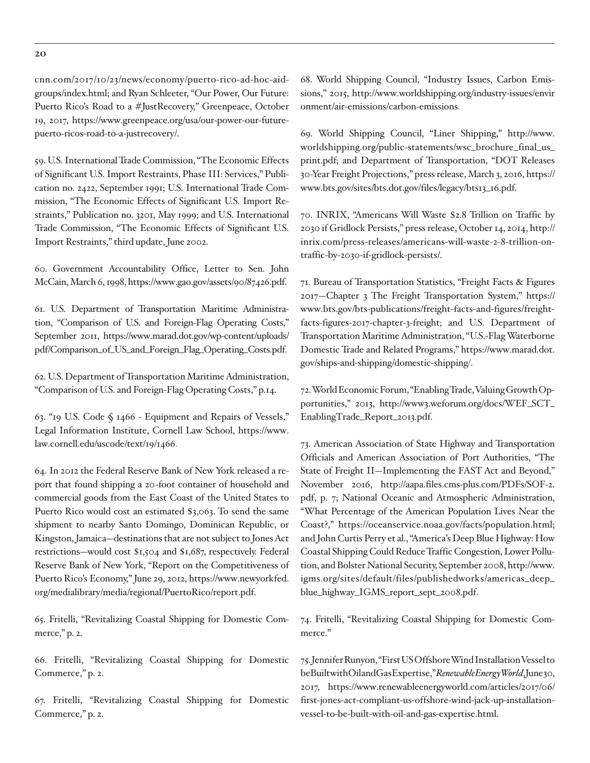<span id="page-19-0"></span>[cnn.com/2017/10/23/news/economy/puerto-rico-ad-hoc-aid](http://money.cnn.com/2017/10/23/news/economy/puerto-rico-ad-hoc-aid-groups/index.html)[groups/index.html](http://money.cnn.com/2017/10/23/news/economy/puerto-rico-ad-hoc-aid-groups/index.html); and Ryan Schleeter, "Our Power, Our Future: Puerto Rico's Road to a #JustRecovery," Greenpeace, October 19, 2017, [https://www.greenpeace.org/usa/our-power-our-future](https://www.greenpeace.org/usa/our-power-our-future-puerto-ricos-road-to-a-justrecovery/)[puerto-ricos-road-to-a-justrecovery/.](https://www.greenpeace.org/usa/our-power-our-future-puerto-ricos-road-to-a-justrecovery/)

[59](#page-9-0). U.S. International Trade Commission, "The Economic Effects of Significant U.S. Import Restraints, Phase III: Services," Publication no. 2422, September 1991; U.S. International Trade Commission, "The Economic Effects of Significant U.S. Import Restraints," Publication no. 3201, May 1999; and U.S. International Trade Commission, "The Economic Effects of Significant U.S. Import Restraints," third update, June 2002.

[60.](#page-9-0) Government Accountability Office, Letter to Sen. John McCain, March 6, 1998, [https://www.gao.gov/assets/90/87426.pdf.](https://www.gao.gov/assets/90/87426.pdf)

[61.](#page-9-0) U.S. Department of Transportation Maritime Administration, "Comparison of U.S. and Foreign-Flag Operating Costs," September 2011, [https://www.marad.dot.gov/wp-content/uploads/](https://www.marad.dot.gov/wp-content/uploads/pdf/Comparison_of_US_and_Foreign_Flag_Operating_Costs.pdf) [pdf/Comparison\\_of\\_US\\_and\\_Foreign\\_Flag\\_Operating\\_Costs.pdf.](https://www.marad.dot.gov/wp-content/uploads/pdf/Comparison_of_US_and_Foreign_Flag_Operating_Costs.pdf)

[62.](#page-9-0) U.S. Department of Transportation Maritime Administration, "Comparison of U.S. and Foreign-Flag Operating Costs," p.14.

[63](#page-9-0). "19 U.S. Code § 1466 - Equipment and Repairs of Vessels," Legal Information Institute, Cornell Law School, [https://www.](https://www.law.cornell.edu/uscode/text/19/1466) [law.cornell.edu/uscode/text/19/1466.](https://www.law.cornell.edu/uscode/text/19/1466)

[64](#page-10-0). In 2012 the Federal Reserve Bank of New York released a report that found shipping a 20-foot container of household and commercial goods from the East Coast of the United States to Puerto Rico would cost an estimated \$3,063. To send the same shipment to nearby Santo Domingo, Dominican Republic, or Kingston, Jamaica—destinations that are not subject to Jones Act restrictions—would cost \$1,504 and \$1,687, respectively. Federal Reserve Bank of New York, "Report on the Competitiveness of Puerto Rico's Economy," June 29, 2012, [https://www.newyorkfed.](https://www.newyorkfed.org/medialibrary/media/regional/PuertoRico/report.pdf) [org/medialibrary/media/regional/PuertoRico/report.pdf](https://www.newyorkfed.org/medialibrary/media/regional/PuertoRico/report.pdf).

[65.](#page-10-0) Fritelli, "Revitalizing Coastal Shipping for Domestic Commerce," p. 2.

[66.](#page-10-0) Fritelli, "Revitalizing Coastal Shipping for Domestic Commerce," p. 2.

[67](#page-10-0). Fritelli, "Revitalizing Coastal Shipping for Domestic Commerce," p. 2.

[68.](#page-10-0) World Shipping Council, "Industry Issues, Carbon Emissions," 2015, [http://www.worldshipping.org/industry-issues/envir](http://www.worldshipping.org/industry-issues/envir
onment/air-emissions/carbon-emissions) [onment/air-emissions/carbon-emissions](http://www.worldshipping.org/industry-issues/envir
onment/air-emissions/carbon-emissions).

[69](#page-10-0). World Shipping Council, "Liner Shipping," [http://www.](http://www.worldshipping.org/public-statements/wsc_brochure_final_us_print.pdf) [worldshipping.org/public-statements/wsc\\_brochure\\_final\\_us\\_](http://www.worldshipping.org/public-statements/wsc_brochure_final_us_print.pdf) [print.pdf;](http://www.worldshipping.org/public-statements/wsc_brochure_final_us_print.pdf) and Department of Transportation, "DOT Releases 30-Year Freight Projections," press release, March 3, 2016, [https://](https://www.bts.gov/sites/bts.dot.gov/files/legacy/bts13_16.pdf) [www.bts.gov/sites/bts.dot.gov/files/legacy/bts13\\_16.pdf](https://www.bts.gov/sites/bts.dot.gov/files/legacy/bts13_16.pdf).

[70.](#page-10-0) INRIX, "Americans Will Waste \$2.8 Trillion on Traffic by 2030 if Gridlock Persists," press release, October 14, 2014, [http://](http://inrix.com/press-releases/americans-will-waste-2-8-trillion-on-traffic-by-2030-if-gridlock-persists/) [inrix.com/press-releases/americans-will-waste-2-8-trillion-on](http://inrix.com/press-releases/americans-will-waste-2-8-trillion-on-traffic-by-2030-if-gridlock-persists/)[traffic-by-2030-if-gridlock-persists/.](http://inrix.com/press-releases/americans-will-waste-2-8-trillion-on-traffic-by-2030-if-gridlock-persists/)

[71](#page-10-0). Bureau of Transportation Statistics, "Freight Facts & Figures 2017—Chapter 3 The Freight Transportation System," [https://](https://www.bts.gov/bts-publications/freight-facts-and-figures/freight-facts-figures-2017-chapter-3-freight) [www.bts.gov/bts-publications/freight-facts-and-figures/freight](https://www.bts.gov/bts-publications/freight-facts-and-figures/freight-facts-figures-2017-chapter-3-freight)[facts-figures-2017-chapter-3-freight](https://www.bts.gov/bts-publications/freight-facts-and-figures/freight-facts-figures-2017-chapter-3-freight); and U.S. Department of Transportation Maritime Administration, "U.S.-Flag Waterborne Domestic Trade and Related Programs," [https://www.marad.dot.](https://www.marad.dot.gov/ships-and-shipping/domestic-shipping) [gov/ships-and-shipping/domestic-shipping/](https://www.marad.dot.gov/ships-and-shipping/domestic-shipping).

[72.](#page-10-0) World Economic Forum, "Enabling Trade, Valuing Growth Opportunities," 2013, [http://www3.weforum.org/docs/WEF\\_SCT\\_](http://www3.weforum.org/docs/WEF_SCT_
EnablingTrade_Report_2013.pdf) [EnablingTrade\\_Report\\_2013.pdf.](http://www3.weforum.org/docs/WEF_SCT_
EnablingTrade_Report_2013.pdf)

[73](#page-10-0). American Association of State Highway and Transportation Officials and American Association of Port Authorities, "The State of Freight II—Implementing the FAST Act and Beyond," November 2016, [http://aapa.files.cms-plus.com/PDFs/SOF-2.](http://aapa.files.cms-plus.com/PDFs/SOF-2.pdf) [pdf,](http://aapa.files.cms-plus.com/PDFs/SOF-2.pdf) p. 7; National Oceanic and Atmospheric Administration, "What Percentage of the American Population Lives Near the Coast?," [https://oceanservice.noaa.gov/facts/population.html;](https://oceanservice.noaa.gov/facts/population.html) and John Curtis Perry et al., "America's Deep Blue Highway: How Coastal Shipping Could Reduce Traffic Congestion, Lower Pollution, and Bolster National Security, September 2008, [http://www.](http://www.igms.org/sites/default/files/publishedworks/americas_deep_blue_highway_IGMS_report_sept_2008.pdf) [igms.org/sites/default/files/publishedworks/americas\\_deep\\_](http://www.igms.org/sites/default/files/publishedworks/americas_deep_blue_highway_IGMS_report_sept_2008.pdf) [blue\\_highway\\_IGMS\\_report\\_sept\\_2008.pdf](http://www.igms.org/sites/default/files/publishedworks/americas_deep_blue_highway_IGMS_report_sept_2008.pdf).

[74](#page-10-0). Fritelli, "Revitalizing Coastal Shipping for Domestic Commerce."

[75](#page-10-0). Jennifer Runyon, "First US Offshore Wind Installation Vessel to be Built with Oil and Gas Expertise," *Renewable Energy World*, June 30, 2017, [https://www.renewableenergyworld.com/articles/2017/06/](https://www.renewableenergyworld.com/articles/2017/06/first-jones-act-compliant-us-offshore-wind-jack-up-installation-vessel-to-be-built-with-oil-and-gas-expertise.html) [first-jones-act-compliant-us-offshore-wind-jack-up-installation](https://www.renewableenergyworld.com/articles/2017/06/first-jones-act-compliant-us-offshore-wind-jack-up-installation-vessel-to-be-built-with-oil-and-gas-expertise.html)[vessel-to-be-built-with-oil-and-gas-expertise.html](https://www.renewableenergyworld.com/articles/2017/06/first-jones-act-compliant-us-offshore-wind-jack-up-installation-vessel-to-be-built-with-oil-and-gas-expertise.html).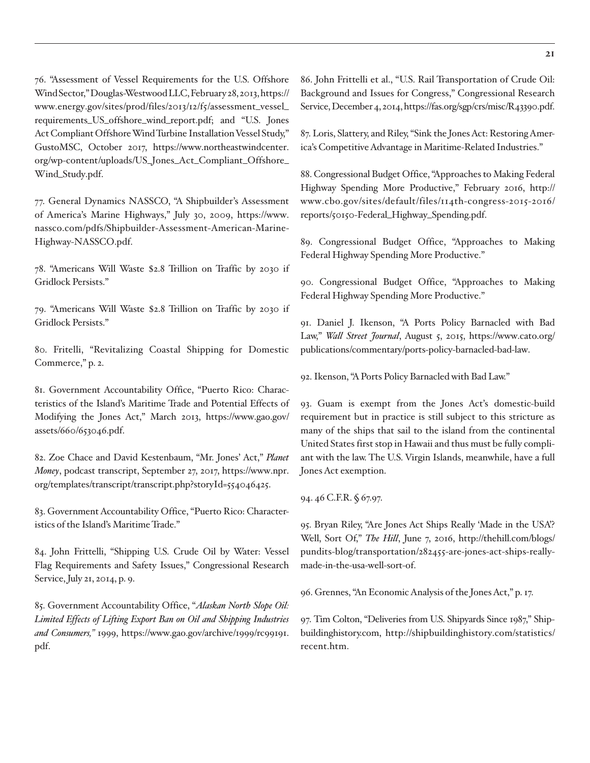<span id="page-20-0"></span>[76.](#page-11-0) "Assessment of Vessel Requirements for the U.S. Offshore Wind Sector," Douglas-Westwood LLC, February 28, 2013, [https://](https://www.energy.gov/sites/prod/files/2013/12/f5/assessment_vessel_requirements_US_offshore_wind_report.pdf) [www.energy.gov/sites/prod/files/2013/12/f5/assessment\\_vessel\\_](https://www.energy.gov/sites/prod/files/2013/12/f5/assessment_vessel_requirements_US_offshore_wind_report.pdf) [requirements\\_US\\_offshore\\_wind\\_report.pdf](https://www.energy.gov/sites/prod/files/2013/12/f5/assessment_vessel_requirements_US_offshore_wind_report.pdf); and "U.S. Jones Act Compliant Offshore Wind Turbine Installation Vessel Study," GustoMSC, October 2017, [https://www.northeastwindcenter.](https://www.northeastwindcenter.org/wp-content/uploads/US_Jones_Act_Compliant_Offshore_Wind_Study.pdf) [org/wp-content/uploads/US\\_Jones\\_Act\\_Compliant\\_Offshore\\_](https://www.northeastwindcenter.org/wp-content/uploads/US_Jones_Act_Compliant_Offshore_Wind_Study.pdf) [Wind\\_Study.pdf](https://www.northeastwindcenter.org/wp-content/uploads/US_Jones_Act_Compliant_Offshore_Wind_Study.pdf).

[77](#page-11-0). General Dynamics NASSCO, "A Shipbuilder's Assessment of America's Marine Highways," July 30, 2009, [https://www.](https://www.nassco.com/pdfs/Shipbuilder-Assessment-American-Marine-Highway-NASSCO.pdf) [nassco.com/pdfs/Shipbuilder-Assessment-American-Marine-](https://www.nassco.com/pdfs/Shipbuilder-Assessment-American-Marine-Highway-NASSCO.pdf)[Highway-NASSCO.pdf](https://www.nassco.com/pdfs/Shipbuilder-Assessment-American-Marine-Highway-NASSCO.pdf).

[78](#page-11-0). "Americans Will Waste \$2.8 Trillion on Traffic by 2030 if Gridlock Persists."

[79.](#page-11-0) "Americans Will Waste \$2.8 Trillion on Traffic by 2030 if Gridlock Persists."

[80.](#page-11-0) Fritelli, "Revitalizing Coastal Shipping for Domestic Commerce," p. 2.

[81](#page-11-0). Government Accountability Office, "Puerto Rico: Characteristics of the Island's Maritime Trade and Potential Effects of Modifying the Jones Act," March 2013, [https://www.gao.gov/](https://www.gao.gov/assets/660/653046.pdf) [assets/660/653046.pdf](https://www.gao.gov/assets/660/653046.pdf).

[82](#page-11-0). Zoe Chace and David Kestenbaum, "Mr. Jones' Act," *Planet Money*, podcast transcript, September 27, 2017, [https://www.npr.](https://www.npr.org/templates/transcript/transcript.php?storyId=554046425) [org/templates/transcript/transcript.php?storyId=554046425.](https://www.npr.org/templates/transcript/transcript.php?storyId=554046425)

[83.](#page-11-0) Government Accountability Office, "Puerto Rico: Characteristics of the Island's Maritime Trade."

[84.](#page-11-0) John Frittelli, "Shipping U.S. Crude Oil by Water: Vessel Flag Requirements and Safety Issues," Congressional Research Service, July 21, 2014, p. 9.

[85](#page-11-0). Government Accountability Office, "*Alaskan North Slope Oil: Limited Effects of Lifting Export Ban on Oil and Shipping Industries and Consumers,"* 1999, [https://www.gao.gov/archive/1999/rc99191.](https://www.gao.gov/archive/1999/rc99191.pdf) [pdf.](https://www.gao.gov/archive/1999/rc99191.pdf)

[86](#page-11-0). John Frittelli et al., "U.S. Rail Transportation of Crude Oil: Background and Issues for Congress," Congressional Research Service, December 4, 2014, [https://fas.org/sgp/crs/misc/R43390.pdf.](https://fas.org/sgp/crs/misc/R43390.pdf)

[87](#page-12-0). Loris, Slattery, and Riley, "Sink the Jones Act: Restoring America's Competitive Advantage in Maritime-Related Industries."

[88](#page-12-0). Congressional Budget Office, "Approaches to Making Federal Highway Spending More Productive," February 2016, [http://](http://www.cbo.gov/sites/default/files/114th-congress-2015-2016/reports/50150-Federal_Highway_Spending.pdf) [www.cbo.gov/sites/default/files/114th-congress-2015-2016/](http://www.cbo.gov/sites/default/files/114th-congress-2015-2016/reports/50150-Federal_Highway_Spending.pdf) [reports/50150-Federal\\_Highway\\_Spending.pdf.](http://www.cbo.gov/sites/default/files/114th-congress-2015-2016/reports/50150-Federal_Highway_Spending.pdf)

[89](#page-12-0). Congressional Budget Office, "Approaches to Making Federal Highway Spending More Productive."

[90.](#page-12-0) Congressional Budget Office, "Approaches to Making Federal Highway Spending More Productive."

[91.](#page-12-0) Daniel J. Ikenson, "A Ports Policy Barnacled with Bad Law," *Wall Street Journal*, August 5, 2015, [https://www.cato.org/](https://www.cato.org/publications/commentary/ports-policy-barnacled-bad-law) [publications/commentary/ports-policy-barnacled-bad-law](https://www.cato.org/publications/commentary/ports-policy-barnacled-bad-law).

[92.](#page-12-0) Ikenson, "A Ports Policy Barnacled with Bad Law."

[93](#page-14-0). Guam is exempt from the Jones Act's domestic-build requirement but in practice is still subject to this stricture as many of the ships that sail to the island from the continental United States first stop in Hawaii and thus must be fully compliant with the law. The U.S. Virgin Islands, meanwhile, have a full Jones Act exemption.

[94](#page-14-0). 46 C.F.R. § 67.97.

[95.](#page-14-0) Bryan Riley, "Are Jones Act Ships Really 'Made in the USA'? Well, Sort Of," *The Hill*, June 7, 2016, [http://thehill.com/blogs/](http://thehill.com/blogs/pundits-blog/transportation/282455-are-jones-act-ships-really-made-in-the-usa-well-sort-of) [pundits-blog/transportation/282455-are-jones-act-ships-really](http://thehill.com/blogs/pundits-blog/transportation/282455-are-jones-act-ships-really-made-in-the-usa-well-sort-of)[made-in-the-usa-well-sort-of](http://thehill.com/blogs/pundits-blog/transportation/282455-are-jones-act-ships-really-made-in-the-usa-well-sort-of).

[96](#page-14-0). Grennes, "An Economic Analysis of the Jones Act," p. 17.

[97](#page-15-0). Tim Colton, "Deliveries from U.S. Shipyards Since 1987," Shipbuildinghistory.com, [http://shipbuildinghistory.com/statistics/](http://shipbuildinghistory.com/statistics/recent.htm) [recent.htm.](http://shipbuildinghistory.com/statistics/recent.htm)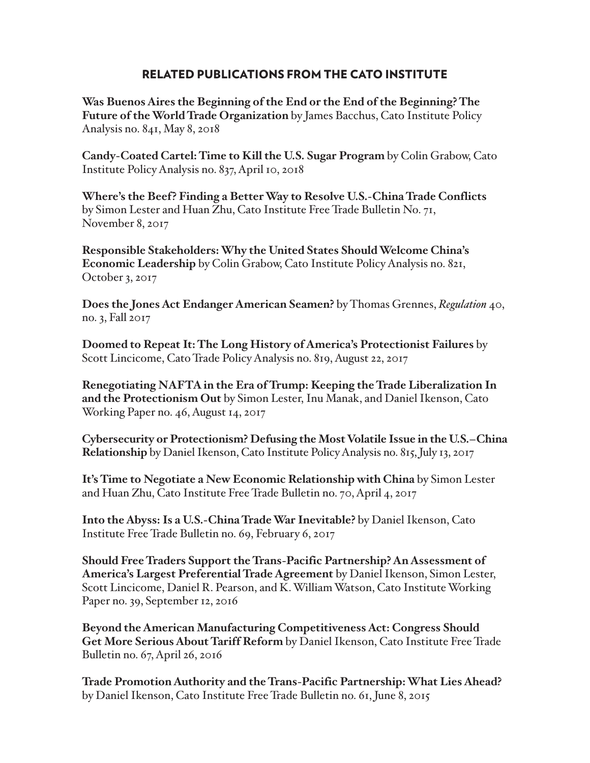# RELATED PUBLICATIONS FROM THE CATO INSTITUTE

**Was Buenos Aires the Beginning of the End or the End of the Beginning? The Future of the World Trade Organization** by James Bacchus, Cato Institute Policy Analysis no. 841, May 8, 2018

**Candy-Coated Cartel: Time to Kill the U.S. Sugar Program** by Colin Grabow, Cato Institute Policy Analysis no. 837, April 10, 2018

**Where's the Beef? Finding a Better Way to Resolve U.S.-China Trade Conflicts** by Simon Lester and Huan Zhu, Cato Institute Free Trade Bulletin No. 71, November 8, 2017

**Responsible Stakeholders: Why the United States Should Welcome China's Economic Leadership** by Colin Grabow, Cato Institute Policy Analysis no. 821, October 3, 2017

**Does the Jones Act Endanger American Seamen?** by Thomas Grennes, *Regulation* 40, no. 3, Fall 2017

**Doomed to Repeat It: The Long History of America's Protectionist Failures** by Scott Lincicome, Cato Trade Policy Analysis no. 819, August 22, 2017

**Renegotiating NAFTA in the Era of Trump: Keeping the Trade Liberalization In and the Protectionism Out** by Simon Lester, Inu Manak, and Daniel Ikenson, Cato Working Paper no. 46, August 14, 2017

**Cybersecurity or Protectionism? Defusing the Most Volatile Issue in the U.S.–China Relationship** by Daniel Ikenson, Cato Institute Policy Analysis no. 815, July 13, 2017

**It's Time to Negotiate a New Economic Relationship with China** by Simon Lester and Huan Zhu, Cato Institute Free Trade Bulletin no. 70, April 4, 2017

**Into the Abyss: Is a U.S.-China Trade War Inevitable?** by Daniel Ikenson, Cato Institute Free Trade Bulletin no. 69, February 6, 2017

**Should Free Traders Support the Trans-Pacific Partnership? An Assessment of America's Largest Preferential Trade Agreement** by Daniel Ikenson, Simon Lester, Scott Lincicome, Daniel R. Pearson, and K. William Watson, Cato Institute Working Paper no. 39, September 12, 2016

**Beyond the American Manufacturing Competitiveness Act: Congress Should Get More Serious About Tariff Reform** by Daniel Ikenson, Cato Institute Free Trade Bulletin no. 67, April 26, 2016

**Trade Promotion Authority and the Trans-Pacific Partnership: What Lies Ahead?** by Daniel Ikenson, Cato Institute Free Trade Bulletin no. 61, June 8, 2015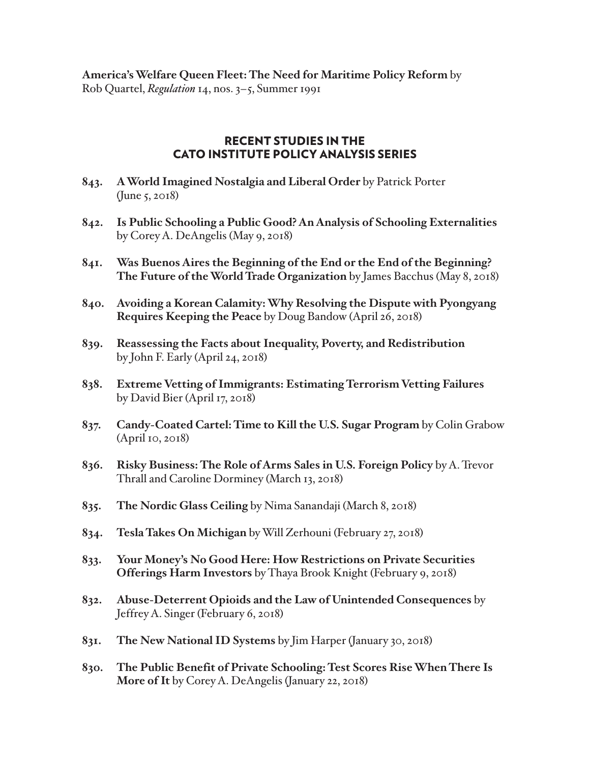**America's Welfare Queen Fleet: The Need for Maritime Policy Reform** by Rob Quartel, *Regulation* 14, nos. 3–5, Summer 1991

# RECENT STUDIES IN THE CATO INSTITUTE POLICY ANALYSIS SERIES

- **843. A World Imagined Nostalgia and Liberal Order** by Patrick Porter (June 5, 2018)
- **842. Is Public Schooling a Public Good? An Analysis of Schooling Externalities** by Corey A. DeAngelis (May 9, 2018)
- **841. Was Buenos Aires the Beginning of the End or the End of the Beginning? The Future of the World Trade Organization** by James Bacchus (May 8, 2018)
- **840. Avoiding a Korean Calamity: Why Resolving the Dispute with Pyongyang Requires Keeping the Peace** by Doug Bandow (April 26, 2018)
- **839. Reassessing the Facts about Inequality, Poverty, and Redistribution**  by John F. Early (April 24, 2018)
- **838. Extreme Vetting of Immigrants: Estimating Terrorism Vetting Failures**  by David Bier (April 17, 2018)
- **837. Candy-Coated Cartel: Time to Kill the U.S. Sugar Program** by Colin Grabow (April 10, 2018)
- **836. Risky Business: The Role of Arms Sales in U.S. Foreign Policy** by A. Trevor Thrall and Caroline Dorminey (March 13, 2018)
- **835. The Nordic Glass Ceiling** by Nima Sanandaji (March 8, 2018)
- **834. Tesla Takes On Michigan** by Will Zerhouni (February 27, 2018)
- **833. Your Money's No Good Here: How Restrictions on Private Securities Offerings Harm Investors** by Thaya Brook Knight (February 9, 2018)
- **832. Abuse-Deterrent Opioids and the Law of Unintended Consequences** by Jeffrey A. Singer (February 6, 2018)
- **831. The New National ID Systems** by Jim Harper (January 30, 2018)
- **830. The Public Benefit of Private Schooling: Test Scores Rise When There Is More of It** by Corey A. DeAngelis (January 22, 2018)